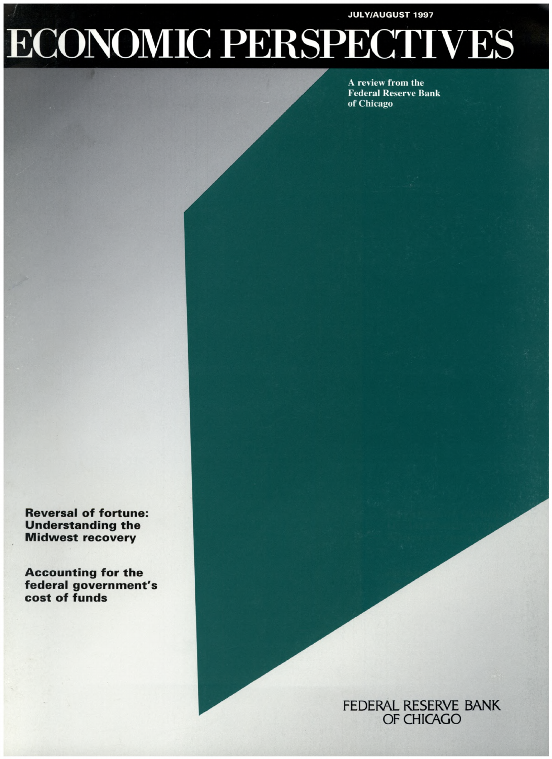### **JULY/AUGUST 1997**

# **ECONOMIC PERSPECTIVES**

**A review from the Federal Reserve Bank of Chicago**

**Reversal of fortune: Understanding the Midwest recovery**

**Accounting for the federal government's cost of funds**

> FEDERAL RESERVE BANK OF CHICAGO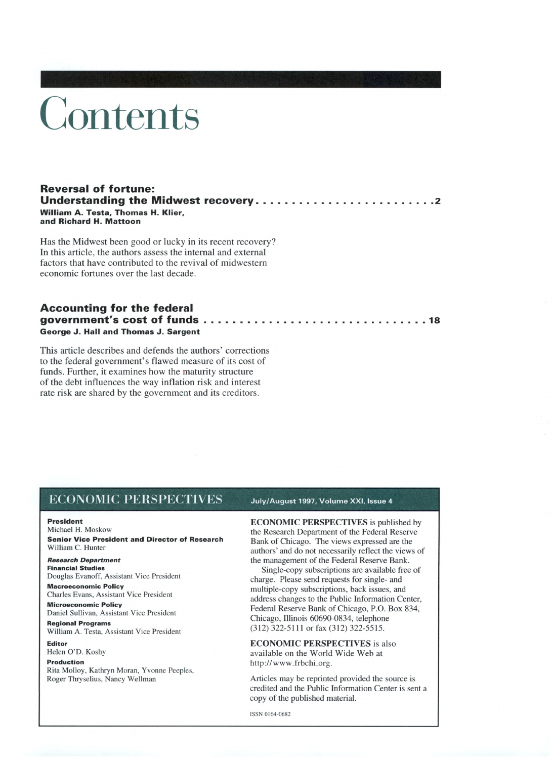# Contents

#### **Reversal of fortune: Understanding the Midwest recovery............................................................ 2 William A. Testa, Thomas H. Klier, and Richard H. Mattoon**

Has the Midwest been good or lucky in its recent recovery? In this article, the authors assess the internal and external factors that have contributed to the revival of midwestern economic fortunes over the last decade.

### **Accounting for the federal government's cost of funds........................................................................... <sup>18</sup> George J. Hal, and Thomas J. Sargent**

This article describes and defends the authors' corrections to the federal government's flawed measure of its cost of funds. Further, it examines how the maturity structure of the debt influences the way inflation risk and interest rate risk are shared by the government and its creditors.

### **ECONOMIC PERSPECTIVES** July/August <sup>1</sup>997, Volume XXI, Issue <sup>4</sup>

#### **President**

Michael H. Moskow **Senior Vice President and Director of Research** William C. Hunter

#### *Research Department* **Financial Studies**

Douglas Evanoff, Assistant Vice President

**Macroeconomic Policy** Charles Evans, Assistant Vice President

**Microeconomic Policy** Daniel Sullivan, Assistant Vice President

**Regional Programs** William A. Testa, Assistant Vice President

**Editor** Helen O'D. Koshy **Production**

#### Rita Molloy, Kathryn Moran, Yvonne Peeples, Roger Thryselius, Nancy Wellman

**ECONOMIC PERSPECTIVES** is published by the Research Department of the Federal Reserve Bank of Chicago. The views expressed are the authors' and do not necessarily reflect the views of the management of the Federal Reserve Bank.

Single-copy subscriptions are available free of charge. Please send requests for single- and multiple-copy subscriptions, back issues, and address changes to the Public Information Center, Federal Reserve Bank of Chicago, P.O. Box 834, Chicago, Illinois 60690-0834, telephone (312) 322-5111 or fax (312) 322-5515.

**ECONOMIC PERSPECTIVES** is also available on the World Wide Web at http://[www.frbchi.org](http://www.frbchi.org).

Articles may be reprinted provided the source is credited and the Public Information Center is sent a copy of the published material.

ISSN 0164-0682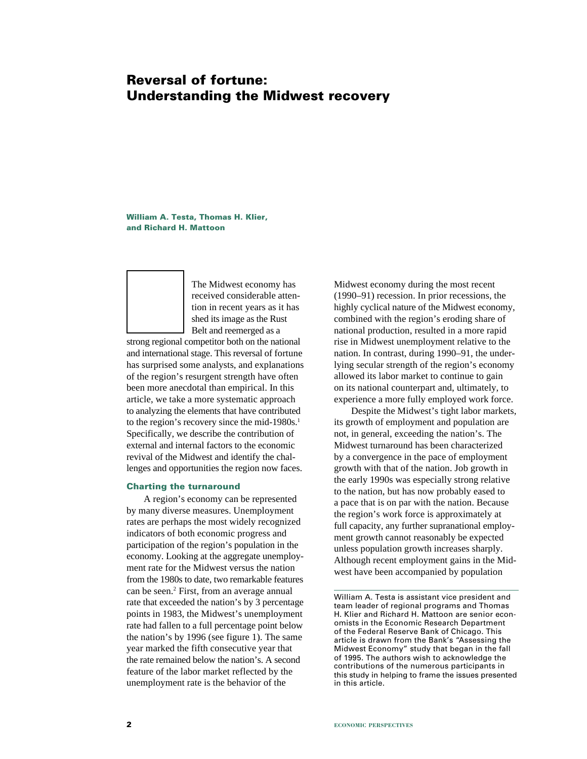# **Reversal of fortune: Understanding the Midwest recovery**

**William A. Testa, Thomas H. Klier, and Richard H. Mattoon**

> The Midwest economy has received considerable attention in recent years as it has shed its image as the Rust Belt and reemerged as a

strong regional competitor both on the national and international stage. This reversal of fortune has surprised some analysts, and explanations of the region's resurgent strength have often been more anecdotal than empirical. In this article, we take a more systematic approach to analyzing the elements that have contributed to the region's recovery since the mid-1980s. $<sup>1</sup>$ </sup> Specifically, we describe the contribution of external and internal factors to the economic revival of the Midwest and identify the challenges and opportunities the region now faces.

#### **Charting the turnaround**

A region's economy can be represented by many diverse measures. Unemployment rates are perhaps the most widely recognized indicators of both economic progress and participation of the region's population in the economy. Looking at the aggregate unemployment rate for the Midwest versus the nation from the 1980s to date, two remarkable features can be seen.<sup>2</sup> First, from an average annual rate that exceeded the nation's by 3 percentage points in 1983, the Midwest's unemployment rate had fallen to a full percentage point below the nation's by 1996 (see figure 1). The same year marked the fifth consecutive year that the rate remained below the nation's. A second feature of the labor market reflected by the unemployment rate is the behavior of the

Midwest economy during the most recent (1990–91) recession. In prior recessions, the highly cyclical nature of the Midwest economy, combined with the region's eroding share of national production, resulted in a more rapid rise in Midwest unemployment relative to the nation. In contrast, during 1990–91, the underlying secular strength of the region's economy allowed its labor market to continue to gain on its national counterpart and, ultimately, to experience a more fully employed work force.

Despite the Midwest's tight labor markets, its growth of employment and population are not, in general, exceeding the nation's. The Midwest turnaround has been characterized by a convergence in the pace of employment growth with that of the nation. Job growth in the early 1990s was especially strong relative to the nation, but has now probably eased to a pace that is on par with the nation. Because the region's work force is approximately at full capacity, any further supranational employment growth cannot reasonably be expected unless population growth increases sharply. Although recent employment gains in the Midwest have been accompanied by population

William A. Testa is assistant vice president and team leader of regional programs and Thomas H. Klier and Richard H. Mattoon are senior economists in the Economic Research Department of the Federal Reserve Bank of Chicago. This article is drawn from the Bank's "Assessing the Midwest Economy" study that began in the fall of 1995. The authors wish to acknowledge the contributions of the numerous participants in this study in helping to frame the issues presented in this article.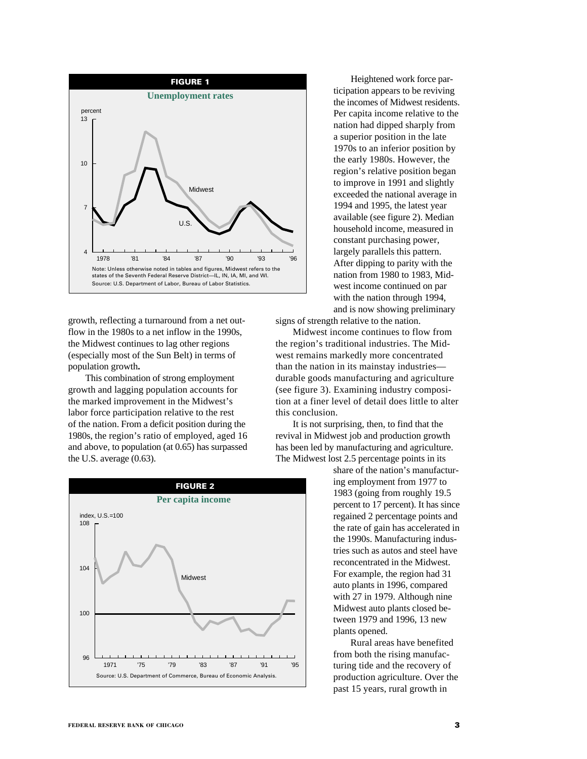

growth, reflecting a turnaround from a net outflow in the 1980s to a net inflow in the 1990s, the Midwest continues to lag other regions (especially most of the Sun Belt) in terms of population growth**.**

This combination of strong employment growth and lagging population accounts for the marked improvement in the Midwest's labor force participation relative to the rest of the nation. From a deficit position during the 1980s, the region's ratio of employed, aged 16 and above, to population (at 0.65) has surpassed the U.S. average (0.63).



Heightened work force participation appears to be reviving the incomes of Midwest residents. Per capita income relative to the nation had dipped sharply from a superior position in the late 1970s to an inferior position by the early 1980s. However, the region's relative position began to improve in 1991 and slightly exceeded the national average in 1994 and 1995, the latest year available (see figure 2). Median household income, measured in constant purchasing power, largely parallels this pattern. After dipping to parity with the nation from 1980 to 1983, Midwest income continued on par with the nation through 1994, and is now showing preliminary

signs of strength relative to the nation.

Midwest income continues to flow from the region's traditional industries. The Midwest remains markedly more concentrated than the nation in its mainstay industries durable goods manufacturing and agriculture (see figure 3). Examining industry composition at a finer level of detail does little to alter this conclusion.

It is not surprising, then, to find that the revival in Midwest job and production growth has been led by manufacturing and agriculture. The Midwest lost 2.5 percentage points in its

> share of the nation's manufacturing employment from 1977 to 1983 (going from roughly 19.5 percent to 17 percent). It has since regained 2 percentage points and the rate of gain has accelerated in the 1990s. Manufacturing industries such as autos and steel have reconcentrated in the Midwest. For example, the region had 31 auto plants in 1996, compared with 27 in 1979. Although nine Midwest auto plants closed between 1979 and 1996, 13 new plants opened.

Rural areas have benefited from both the rising manufacturing tide and the recovery of production agriculture. Over the past 15 years, rural growth in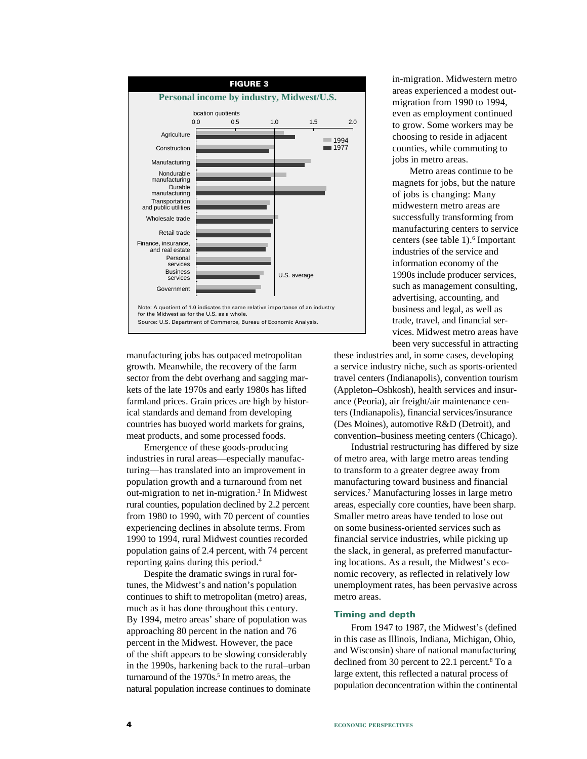

manufacturing jobs has outpaced metropolitan growth. Meanwhile, the recovery of the farm sector from the debt overhang and sagging markets of the late 1970s and early 1980s has lifted farmland prices. Grain prices are high by historical standards and demand from developing countries has buoyed world markets for grains, meat products, and some processed foods.

Emergence of these goods-producing industries in rural areas—especially manufacturing—has translated into an improvement in population growth and a turnaround from net out-migration to net in-migration.3 In Midwest rural counties, population declined by 2.2 percent from 1980 to 1990, with 70 percent of counties experiencing declines in absolute terms. From 1990 to 1994, rural Midwest counties recorded population gains of 2.4 percent, with 74 percent reporting gains during this period.4

Despite the dramatic swings in rural fortunes, the Midwest's and nation's population continues to shift to metropolitan (metro) areas, much as it has done throughout this century. By 1994, metro areas' share of population was approaching 80 percent in the nation and 76 percent in the Midwest. However, the pace of the shift appears to be slowing considerably in the 1990s, harkening back to the rural–urban turnaround of the 1970s.<sup>5</sup> In metro areas, the natural population increase continues to dominate in-migration. Midwestern metro areas experienced a modest outmigration from 1990 to 1994, even as employment continued to grow. Some workers may be choosing to reside in adjacent counties, while commuting to jobs in metro areas.

Metro areas continue to be magnets for jobs, but the nature of jobs is changing: Many midwestern metro areas are successfully transforming from manufacturing centers to service centers (see table 1).<sup>6</sup> Important industries of the service and information economy of the 1990s include producer services, such as management consulting, advertising, accounting, and business and legal, as well as trade, travel, and financial services. Midwest metro areas have been very successful in attracting

these industries and, in some cases, developing a service industry niche, such as sports-oriented travel centers (Indianapolis), convention tourism (Appleton–Oshkosh), health services and insurance (Peoria), air freight/air maintenance centers (Indianapolis), financial services/insurance (Des Moines), automotive R&D (Detroit), and convention–business meeting centers (Chicago).

Industrial restructuring has differed by size of metro area, with large metro areas tending to transform to a greater degree away from manufacturing toward business and financial services.7 Manufacturing losses in large metro areas, especially core counties, have been sharp. Smaller metro areas have tended to lose out on some business-oriented services such as financial service industries, while picking up the slack, in general, as preferred manufacturing locations. As a result, the Midwest's economic recovery, as reflected in relatively low unemployment rates, has been pervasive across metro areas.

#### **Timing and depth**

From 1947 to 1987, the Midwest's (defined in this case as Illinois, Indiana, Michigan, Ohio, and Wisconsin) share of national manufacturing declined from 30 percent to 22.1 percent.<sup>8</sup> To a large extent, this reflected a natural process of population deconcentration within the continental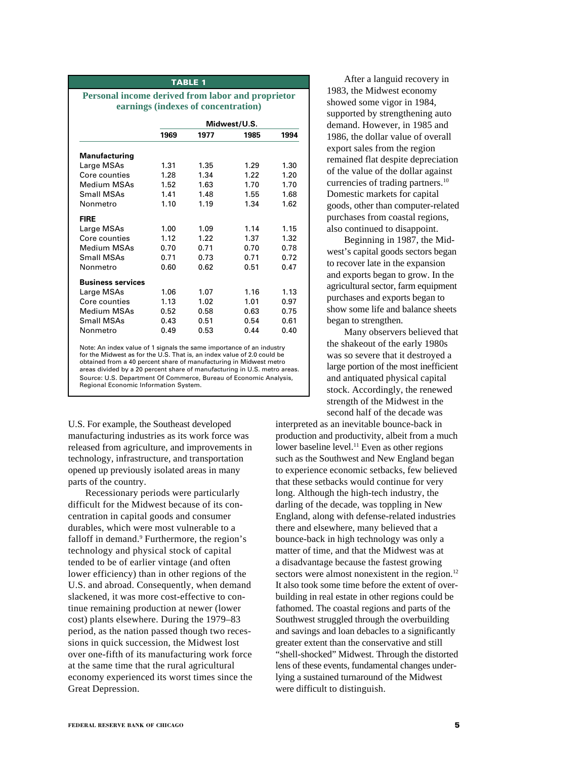#### **TABLE 1**

#### **Personal income derived from labor and proprietor earnings (indexes of concentration)**

|                          | Midwest/U.S. |      |      |      |
|--------------------------|--------------|------|------|------|
|                          | 1969         | 1977 | 1985 | 1994 |
| <b>Manufacturing</b>     |              |      |      |      |
| Large MSAs               | 1.31         | 1.35 | 1.29 | 1.30 |
| Core counties            | 1.28         | 1.34 | 1.22 | 1.20 |
| Medium MSAs              | 1.52         | 1.63 | 1.70 | 1.70 |
| Small MSAs               | 1.41         | 1.48 | 1.55 | 1.68 |
| Nonmetro                 | 1.10         | 1.19 | 1.34 | 1.62 |
| <b>FIRE</b>              |              |      |      |      |
| Large MSAs               | 1.00         | 1.09 | 1.14 | 1.15 |
| Core counties            | 1.12         | 1.22 | 1.37 | 1.32 |
| Medium MSAs              | 0.70         | 0.71 | 0.70 | 0.78 |
| Small MSAs               | 0.71         | 0.73 | 0.71 | 0.72 |
| Nonmetro                 | 0.60         | 0.62 | 0.51 | 0.47 |
| <b>Business services</b> |              |      |      |      |
| Large MSAs               | 1.06         | 1.07 | 1.16 | 1.13 |
| Core counties            | 1.13         | 1.02 | 1.01 | 0.97 |
| Medium MSAs              | 0.52         | 0.58 | 0.63 | 0.75 |
| <b>Small MSAs</b>        | 0.43         | 0.51 | 0.54 | 0.61 |
| Nonmetro                 | 0.49         | 0.53 | 0.44 | 0.40 |

Note: An index value of 1 signals the same importance of an industry for the Midwest as for the U.S. That is, an index value of 2.0 could be obtained from a 40 percent share of manufacturing in Midwest metro areas divided by a 20 percent share of manufacturing in U.S. metro areas. Source: U.S. Department Of Commerce, Bureau of Economic Analysis, Regional Economic Information System.

U.S. For example, the Southeast developed manufacturing industries as its work force was released from agriculture, and improvements in technology, infrastructure, and transportation opened up previously isolated areas in many parts of the country.

Recessionary periods were particularly difficult for the Midwest because of its concentration in capital goods and consumer durables, which were most vulnerable to a falloff in demand.<sup>9</sup> Furthermore, the region's technology and physical stock of capital tended to be of earlier vintage (and often lower efficiency) than in other regions of the U.S. and abroad. Consequently, when demand slackened, it was more cost-effective to continue remaining production at newer (lower cost) plants elsewhere. During the 1979–83 period, as the nation passed though two recessions in quick succession, the Midwest lost over one-fifth of its manufacturing work force at the same time that the rural agricultural economy experienced its worst times since the Great Depression.

After a languid recovery in 1983, the Midwest economy showed some vigor in 1984, supported by strengthening auto demand. However, in 1985 and 1986, the dollar value of overall export sales from the region remained flat despite depreciation of the value of the dollar against currencies of trading partners.<sup>10</sup> Domestic markets for capital goods, other than computer-related purchases from coastal regions, also continued to disappoint.

Beginning in 1987, the Midwest's capital goods sectors began to recover late in the expansion and exports began to grow. In the agricultural sector, farm equipment purchases and exports began to show some life and balance sheets began to strengthen.

Many observers believed that the shakeout of the early 1980s was so severe that it destroyed a large portion of the most inefficient and antiquated physical capital stock. Accordingly, the renewed strength of the Midwest in the second half of the decade was

interpreted as an inevitable bounce-back in production and productivity, albeit from a much lower baseline level.<sup>11</sup> Even as other regions such as the Southwest and New England began to experience economic setbacks, few believed that these setbacks would continue for very long. Although the high-tech industry, the darling of the decade, was toppling in New England, along with defense-related industries there and elsewhere, many believed that a bounce-back in high technology was only a matter of time, and that the Midwest was at a disadvantage because the fastest growing sectors were almost nonexistent in the region.<sup>12</sup> It also took some time before the extent of overbuilding in real estate in other regions could be fathomed. The coastal regions and parts of the Southwest struggled through the overbuilding and savings and loan debacles to a significantly greater extent than the conservative and still "shell-shocked" Midwest. Through the distorted lens of these events, fundamental changes underlying a sustained turnaround of the Midwest were difficult to distinguish.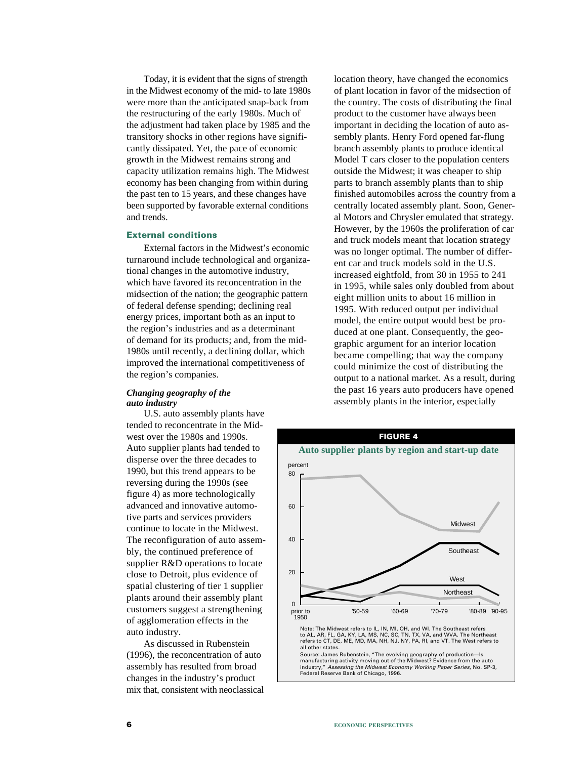Today, it is evident that the signs of strength in the Midwest economy of the mid- to late 1980s were more than the anticipated snap-back from the restructuring of the early 1980s. Much of the adjustment had taken place by 1985 and the transitory shocks in other regions have significantly dissipated. Yet, the pace of economic growth in the Midwest remains strong and capacity utilization remains high. The Midwest economy has been changing from within during the past ten to 15 years, and these changes have been supported by favorable external conditions and trends.

#### **External conditions**

External factors in the Midwest's economic turnaround include technological and organizational changes in the automotive industry, which have favored its reconcentration in the midsection of the nation; the geographic pattern of federal defense spending; declining real energy prices, important both as an input to the region's industries and as a determinant of demand for its products; and, from the mid-1980s until recently, a declining dollar, which improved the international competitiveness of the region's companies.

#### *Changing geography of the auto industry*

U.S. auto assembly plants have tended to reconcentrate in the Midwest over the 1980s and 1990s. Auto supplier plants had tended to disperse over the three decades to 1990, but this trend appears to be reversing during the 1990s (see figure 4) as more technologically advanced and innovative automotive parts and services providers continue to locate in the Midwest. The reconfiguration of auto assembly, the continued preference of supplier R&D operations to locate close to Detroit, plus evidence of spatial clustering of tier 1 supplier plants around their assembly plant customers suggest a strengthening of agglomeration effects in the auto industry.

As discussed in Rubenstein (1996), the reconcentration of auto assembly has resulted from broad changes in the industry's product mix that, consistent with neoclassical

location theory, have changed the economics of plant location in favor of the midsection of the country. The costs of distributing the final product to the customer have always been important in deciding the location of auto assembly plants. Henry Ford opened far-flung branch assembly plants to produce identical Model T cars closer to the population centers outside the Midwest; it was cheaper to ship parts to branch assembly plants than to ship finished automobiles across the country from a centrally located assembly plant. Soon, General Motors and Chrysler emulated that strategy. However, by the 1960s the proliferation of car and truck models meant that location strategy was no longer optimal. The number of different car and truck models sold in the U.S. increased eightfold, from 30 in 1955 to 241 in 1995, while sales only doubled from about eight million units to about 16 million in 1995. With reduced output per individual model, the entire output would best be produced at one plant. Consequently, the geographic argument for an interior location became compelling; that way the company could minimize the cost of distributing the output to a national market. As a result, during the past 16 years auto producers have opened assembly plants in the interior, especially

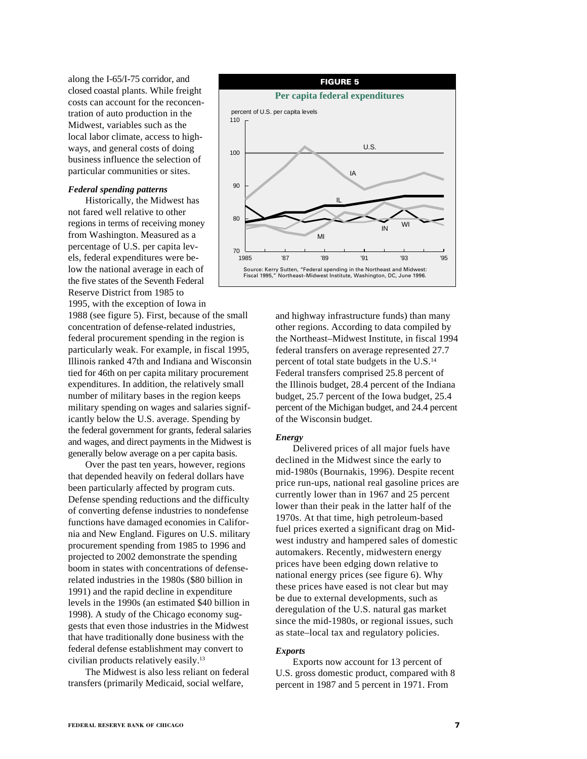along the I-65/I-75 corridor, and closed coastal plants. While freight costs can account for the reconcentration of auto production in the Midwest, variables such as the local labor climate, access to highways, and general costs of doing business influence the selection of particular communities or sites.

#### *Federal spending patterns*

Historically, the Midwest has not fared well relative to other regions in terms of receiving money from Washington. Measured as a percentage of U.S. per capita levels, federal expenditures were below the national average in each of the five states of the Seventh Federal Reserve District from 1985 to

1995, with the exception of Iowa in 1988 (see figure 5). First, because of the small concentration of defense-related industries, federal procurement spending in the region is particularly weak. For example, in fiscal 1995, Illinois ranked 47th and Indiana and Wisconsin tied for 46th on per capita military procurement expenditures. In addition, the relatively small number of military bases in the region keeps military spending on wages and salaries significantly below the U.S. average. Spending by the federal government for grants, federal salaries and wages, and direct payments in the Midwest is generally below average on a per capita basis.

Over the past ten years, however, regions that depended heavily on federal dollars have been particularly affected by program cuts. Defense spending reductions and the difficulty of converting defense industries to nondefense functions have damaged economies in California and New England. Figures on U.S. military procurement spending from 1985 to 1996 and projected to 2002 demonstrate the spending boom in states with concentrations of defenserelated industries in the 1980s (\$80 billion in 1991) and the rapid decline in expenditure levels in the 1990s (an estimated \$40 billion in 1998). A study of the Chicago economy suggests that even those industries in the Midwest that have traditionally done business with the federal defense establishment may convert to civilian products relatively easily.13

The Midwest is also less reliant on federal transfers (primarily Medicaid, social welfare,



and highway infrastructure funds) than many other regions. According to data compiled by the Northeast–Midwest Institute, in fiscal 1994 federal transfers on average represented 27.7 percent of total state budgets in the U.S.14 Federal transfers comprised 25.8 percent of the Illinois budget, 28.4 percent of the Indiana budget, 25.7 percent of the Iowa budget, 25.4 percent of the Michigan budget, and 24.4 percent of the Wisconsin budget.

#### *Energy*

Delivered prices of all major fuels have declined in the Midwest since the early to mid-1980s (Bournakis, 1996). Despite recent price run-ups, national real gasoline prices are currently lower than in 1967 and 25 percent lower than their peak in the latter half of the 1970s. At that time, high petroleum-based fuel prices exerted a significant drag on Midwest industry and hampered sales of domestic automakers. Recently, midwestern energy prices have been edging down relative to national energy prices (see figure 6). Why these prices have eased is not clear but may be due to external developments, such as deregulation of the U.S. natural gas market since the mid-1980s, or regional issues, such as state–local tax and regulatory policies.

#### *Exports*

Exports now account for 13 percent of U.S. gross domestic product, compared with 8 percent in 1987 and 5 percent in 1971. From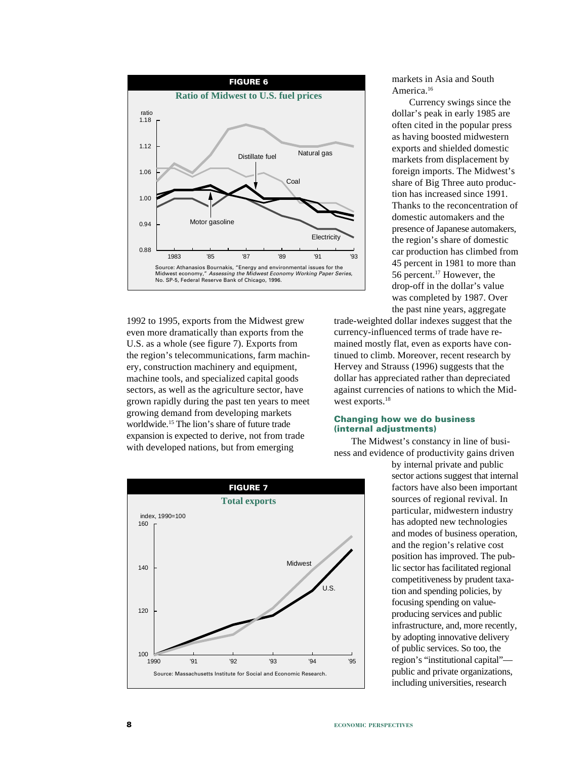

1992 to 1995, exports from the Midwest grew even more dramatically than exports from the U.S. as a whole (see figure 7). Exports from the region's telecommunications, farm machinery, construction machinery and equipment, machine tools, and specialized capital goods sectors, as well as the agriculture sector, have grown rapidly during the past ten years to meet growing demand from developing markets worldwide.15 The lion's share of future trade expansion is expected to derive, not from trade with developed nations, but from emerging



markets in Asia and South America.<sup>16</sup>

Currency swings since the dollar's peak in early 1985 are often cited in the popular press as having boosted midwestern exports and shielded domestic markets from displacement by foreign imports. The Midwest's share of Big Three auto production has increased since 1991. Thanks to the reconcentration of domestic automakers and the presence of Japanese automakers, the region's share of domestic car production has climbed from 45 percent in 1981 to more than 56 percent.17 However, the drop-off in the dollar's value was completed by 1987. Over the past nine years, aggregate

trade-weighted dollar indexes suggest that the currency-influenced terms of trade have remained mostly flat, even as exports have continued to climb. Moreover, recent research by Hervey and Strauss (1996) suggests that the dollar has appreciated rather than depreciated against currencies of nations to which the Midwest exports.<sup>18</sup>

#### **Changing how we do business (internal adjustments)**

The Midwest's constancy in line of business and evidence of productivity gains driven

by internal private and public sector actions suggest that internal factors have also been important sources of regional revival. In particular, midwestern industry has adopted new technologies and modes of business operation, and the region's relative cost position has improved. The public sector has facilitated regional competitiveness by prudent taxation and spending policies, by focusing spending on valueproducing services and public infrastructure, and, more recently, by adopting innovative delivery of public services. So too, the region's "institutional capital" public and private organizations, including universities, research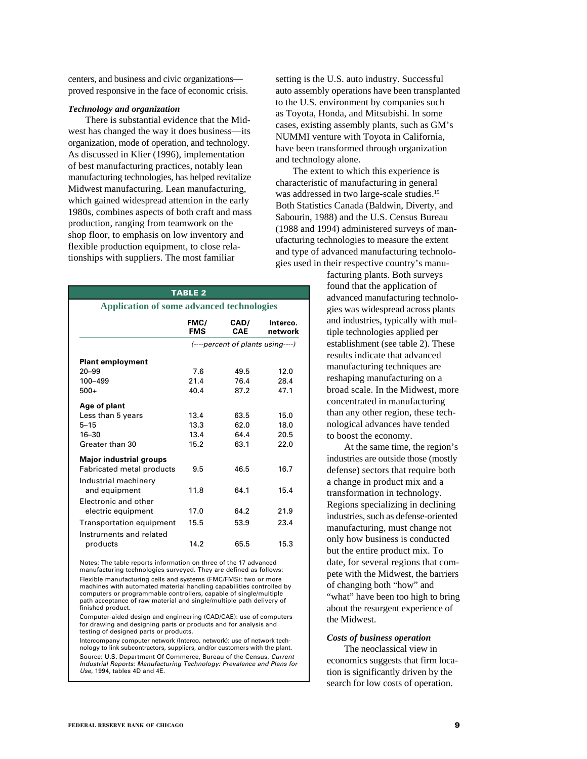centers, and business and civic organizations proved responsive in the face of economic crisis.

#### *Technology and organization*

There is substantial evidence that the Midwest has changed the way it does business—its organization, mode of operation, and technology. As discussed in Klier (1996), implementation of best manufacturing practices, notably lean manufacturing technologies, has helped revitalize Midwest manufacturing. Lean manufacturing, which gained widespread attention in the early 1980s, combines aspects of both craft and mass production, ranging from teamwork on the shop floor, to emphasis on low inventory and flexible production equipment, to close relationships with suppliers. The most familiar

| <b>TABLE 2</b>                                   |                    |                                   |                     |
|--------------------------------------------------|--------------------|-----------------------------------|---------------------|
| <b>Application of some advanced technologies</b> |                    |                                   |                     |
|                                                  | FMC/<br><b>FMS</b> | CAD/<br>CAE                       | Interco.<br>network |
|                                                  |                    | (----percent of plants using----) |                     |
| <b>Plant employment</b>                          |                    |                                   |                     |
| $20 - 99$                                        | 7.6                | 49.5                              | 12.0                |
| 100-499                                          | 21.4               | 76.4                              | 28.4                |
| $500+$                                           | 40.4               | 87.2                              | 47.1                |
| Age of plant                                     |                    |                                   |                     |
| Less than 5 years                                | 13.4               | 63.5                              | 15.0                |
| $5 - 15$                                         | 13.3               | 62.0                              | 18.0                |
| $16 - 30$                                        | 13.4               | 64.4                              | 20.5                |
| Greater than 30                                  | 15.2               | 63.1                              | 22.0                |
| <b>Major industrial groups</b>                   |                    |                                   |                     |
| Fabricated metal products                        | 9.5                | 46.5                              | 16.7                |
| Industrial machinery                             |                    |                                   |                     |
| and equipment                                    | 11.8               | 64.1                              | 15.4                |
| <b>Electronic and other</b>                      |                    |                                   |                     |
| electric equipment                               | 17.0               | 64.2                              | 21.9                |
| <b>Transportation equipment</b>                  | 15.5               | 53.9                              | 23.4                |
| Instruments and related                          |                    |                                   |                     |
| products                                         | 14.2               | 65.5                              | 15.3                |

Notes: The table reports information on three of the 17 advanced manufacturing technologies surveyed. They are defined as follows: Flexible manufacturing cells and systems (FMC/FMS): two or more machines with automated material handling capabilities controlled by computers or programmable controllers, capable of single/multiple path acceptance of raw material and single/multiple path delivery of finished product.

Computer-aided design and engineering (CAD/CAE): use of computers for drawing and designing parts or products and for analysis and testing of designed parts or products.

Intercompany computer network (Interco. network): use of network technology to link subcontractors, suppliers, and/or customers with the plant. Source: U.S. Department Of Commerce, Bureau of the Census, Current Industrial Reports: Manufacturing Technology: Prevalence and Plans for Use, 1994, tables 4D and 4E.

setting is the U.S. auto industry. Successful auto assembly operations have been transplanted to the U.S. environment by companies such as Toyota, Honda, and Mitsubishi. In some cases, existing assembly plants, such as GM's NUMMI venture with Toyota in California, have been transformed through organization and technology alone.

The extent to which this experience is characteristic of manufacturing in general was addressed in two large-scale studies.<sup>19</sup> Both Statistics Canada (Baldwin, Diverty, and Sabourin, 1988) and the U.S. Census Bureau (1988 and 1994) administered surveys of manufacturing technologies to measure the extent and type of advanced manufacturing technologies used in their respective country's manu-

> facturing plants. Both surveys found that the application of advanced manufacturing technologies was widespread across plants and industries, typically with multiple technologies applied per establishment (see table 2). These results indicate that advanced manufacturing techniques are reshaping manufacturing on a broad scale. In the Midwest, more concentrated in manufacturing than any other region, these technological advances have tended to boost the economy.

> At the same time, the region's industries are outside those (mostly defense) sectors that require both a change in product mix and a transformation in technology. Regions specializing in declining industries, such as defense-oriented manufacturing, must change not only how business is conducted but the entire product mix. To date, for several regions that compete with the Midwest, the barriers of changing both "how" and "what" have been too high to bring about the resurgent experience of the Midwest.

#### *Costs of business operation*

The neoclassical view in economics suggests that firm location is significantly driven by the search for low costs of operation.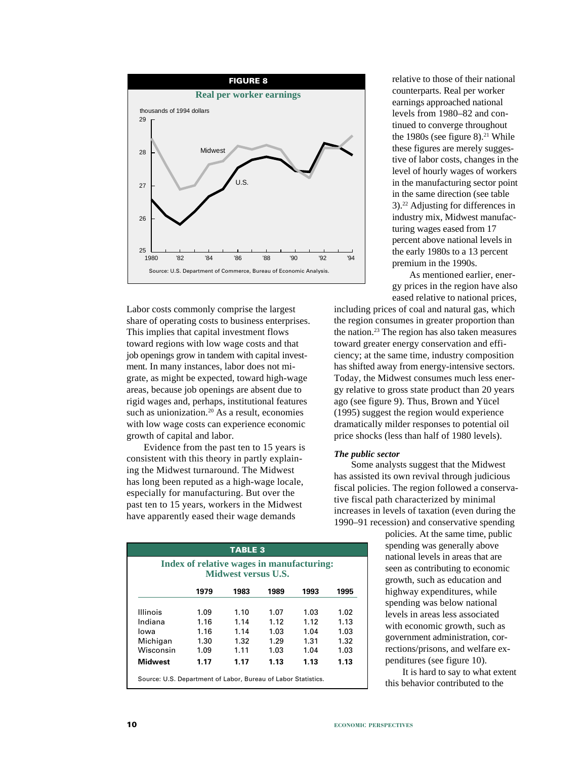

Labor costs commonly comprise the largest share of operating costs to business enterprises. This implies that capital investment flows toward regions with low wage costs and that job openings grow in tandem with capital investment. In many instances, labor does not migrate, as might be expected, toward high-wage areas, because job openings are absent due to rigid wages and, perhaps, institutional features such as unionization.<sup>20</sup> As a result, economies with low wage costs can experience economic growth of capital and labor.

Evidence from the past ten to 15 years is consistent with this theory in partly explaining the Midwest turnaround. The Midwest has long been reputed as a high-wage locale, especially for manufacturing. But over the past ten to 15 years, workers in the Midwest have apparently eased their wage demands

| <b>TABLE 3</b><br>Index of relative wages in manufacturing:<br>Midwest versus U.S. |      |      |      |      |      |
|------------------------------------------------------------------------------------|------|------|------|------|------|
|                                                                                    | 1979 | 1983 | 1989 | 1993 | 1995 |
| <b>Illinois</b>                                                                    | 1.09 | 1.10 | 1.07 | 1.03 | 1.02 |
| Indiana                                                                            | 1.16 | 1.14 | 1.12 | 1.12 | 1.13 |
| lowa                                                                               | 1.16 | 1.14 | 1.03 | 1.04 | 1.03 |
| Michigan                                                                           | 1.30 | 1.32 | 1.29 | 1.31 | 1.32 |
| Wisconsin                                                                          | 1.09 | 1.11 | 1.03 | 1.04 | 1.03 |
| <b>Midwest</b>                                                                     | 1.17 | 1.17 | 1.13 | 1.13 | 1.13 |

relative to those of their national counterparts. Real per worker earnings approached national levels from 1980–82 and continued to converge throughout the 1980s (see figure 8). $21$  While these figures are merely suggestive of labor costs, changes in the level of hourly wages of workers in the manufacturing sector point in the same direction (see table 3).22 Adjusting for differences in industry mix, Midwest manufacturing wages eased from 17 percent above national levels in the early 1980s to a 13 percent premium in the 1990s.

As mentioned earlier, energy prices in the region have also eased relative to national prices,

including prices of coal and natural gas, which the region consumes in greater proportion than the nation.23 The region has also taken measures toward greater energy conservation and efficiency; at the same time, industry composition has shifted away from energy-intensive sectors. Today, the Midwest consumes much less energy relative to gross state product than 20 years ago (see figure 9). Thus, Brown and Yücel (1995) suggest the region would experience dramatically milder responses to potential oil price shocks (less than half of 1980 levels).

#### *The public sector*

Some analysts suggest that the Midwest has assisted its own revival through judicious fiscal policies. The region followed a conservative fiscal path characterized by minimal increases in levels of taxation (even during the 1990–91 recession) and conservative spending

> policies. At the same time, public spending was generally above national levels in areas that are seen as contributing to economic growth, such as education and highway expenditures, while spending was below national levels in areas less associated with economic growth, such as government administration, corrections/prisons, and welfare expenditures (see figure 10).

It is hard to say to what extent this behavior contributed to the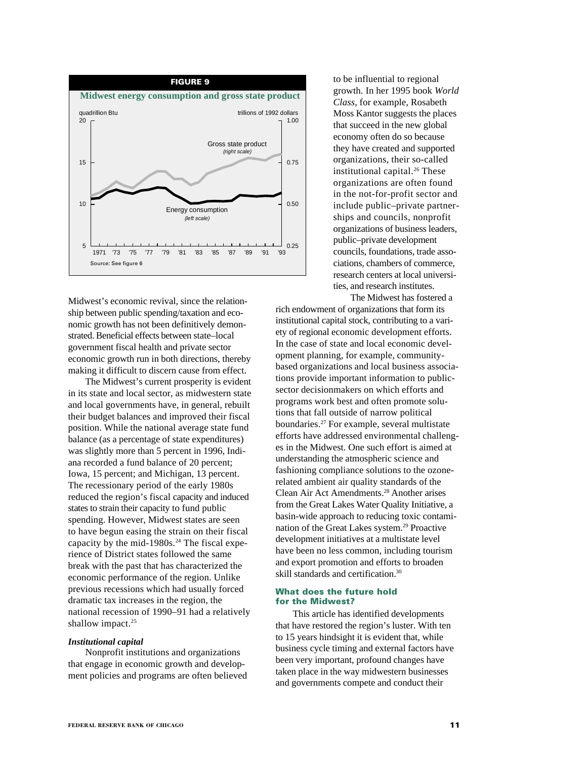

Midwest's economic revival, since the relationship between public spending/taxation and economic growth has not been definitively demonstrated. Beneficial effects between state–local government fiscal health and private sector economic growth run in both directions, thereby making it difficult to discern cause from effect.

The Midwest's current prosperity is evident in its state and local sector, as midwestern state and local governments have, in general, rebuilt their budget balances and improved their fiscal position. While the national average state fund balance (as a percentage of state expenditures) was slightly more than 5 percent in 1996, Indiana recorded a fund balance of 20 percent; Iowa, 15 percent; and Michigan, 13 percent. The recessionary period of the early 1980s reduced the region's fiscal capacity and induced states to strain their capacity to fund public spending. However, Midwest states are seen to have begun easing the strain on their fiscal capacity by the mid-1980s. $24$  The fiscal experience of District states followed the same break with the past that has characterized the economic performance of the region. Unlike previous recessions which had usually forced dramatic tax increases in the region, the national recession of 1990–91 had a relatively shallow impact.<sup>25</sup>

#### *Institutional capital*

Nonprofit institutions and organizations that engage in economic growth and development policies and programs are often believed to be influential to regional growth. In her 1995 book *World Class*, for example, Rosabeth Moss Kantor suggests the places that succeed in the new global economy often do so because they have created and supported organizations, their so-called institutional capital.<sup>26</sup> These organizations are often found in the not-for-profit sector and include public–private partnerships and councils, nonprofit organizations of business leaders, public–private development councils, foundations, trade associations, chambers of commerce, research centers at local universities, and research institutes.

The Midwest has fostered a rich endowment of organizations that form its institutional capital stock, contributing to a variety of regional economic development efforts. In the case of state and local economic development planning, for example, communitybased organizations and local business associations provide important information to publicsector decisionmakers on which efforts and programs work best and often promote solutions that fall outside of narrow political boundaries.27 For example, several multistate efforts have addressed environmental challenges in the Midwest. One such effort is aimed at understanding the atmospheric science and fashioning compliance solutions to the ozonerelated ambient air quality standards of the Clean Air Act Amendments.28 Another arises from the Great Lakes Water Quality Initiative, a basin-wide approach to reducing toxic contamination of the Great Lakes system.<sup>29</sup> Proactive development initiatives at a multistate level have been no less common, including tourism and export promotion and efforts to broaden skill standards and certification.30

#### **What does the future hold for the Midwest?**

This article has identified developments that have restored the region's luster. With ten to 15 years hindsight it is evident that, while business cycle timing and external factors have been very important, profound changes have taken place in the way midwestern businesses and governments compete and conduct their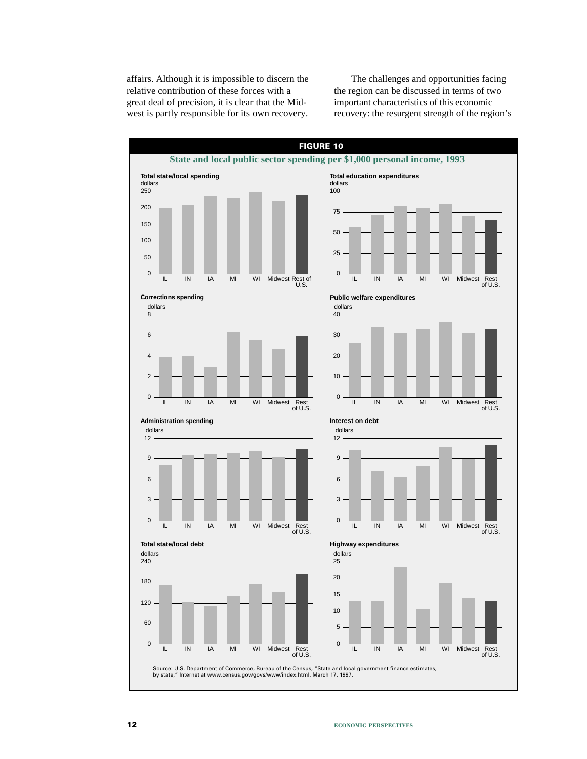affairs. Although it is impossible to discern the relative contribution of these forces with a great deal of precision, it is clear that the Midwest is partly responsible for its own recovery.

The challenges and opportunities facing the region can be discussed in terms of two important characteristics of this economic recovery: the resurgent strength of the region's

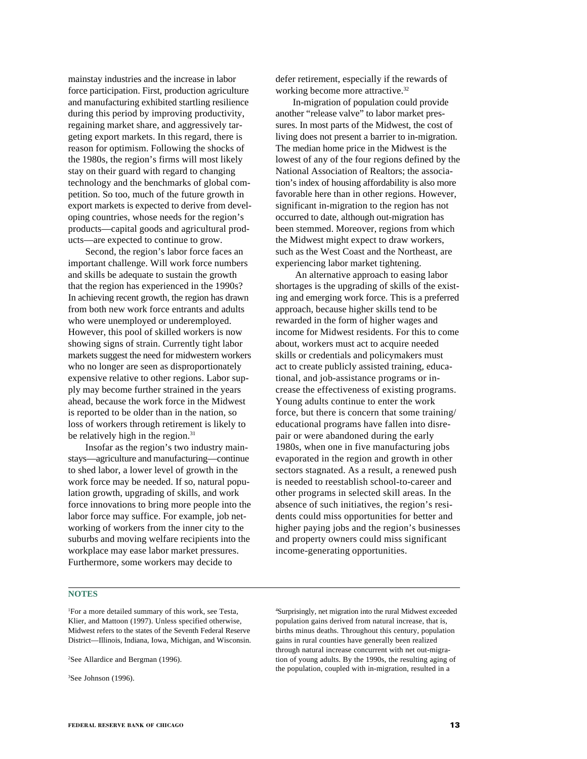mainstay industries and the increase in labor force participation. First, production agriculture and manufacturing exhibited startling resilience during this period by improving productivity, regaining market share, and aggressively targeting export markets. In this regard, there is reason for optimism. Following the shocks of the 1980s, the region's firms will most likely stay on their guard with regard to changing technology and the benchmarks of global competition. So too, much of the future growth in export markets is expected to derive from developing countries, whose needs for the region's products—capital goods and agricultural products—are expected to continue to grow.

Second, the region's labor force faces an important challenge. Will work force numbers and skills be adequate to sustain the growth that the region has experienced in the 1990s? In achieving recent growth, the region has drawn from both new work force entrants and adults who were unemployed or underemployed. However, this pool of skilled workers is now showing signs of strain. Currently tight labor markets suggest the need for midwestern workers who no longer are seen as disproportionately expensive relative to other regions. Labor supply may become further strained in the years ahead, because the work force in the Midwest is reported to be older than in the nation, so loss of workers through retirement is likely to be relatively high in the region.<sup>31</sup>

Insofar as the region's two industry mainstays—agriculture and manufacturing—continue to shed labor, a lower level of growth in the work force may be needed. If so, natural population growth, upgrading of skills, and work force innovations to bring more people into the labor force may suffice. For example, job networking of workers from the inner city to the suburbs and moving welfare recipients into the workplace may ease labor market pressures. Furthermore, some workers may decide to

**NOTES**

1 For a more detailed summary of this work, see Testa, Klier, and Mattoon (1997). Unless specified otherwise, Midwest refers to the states of the Seventh Federal Reserve District—Illinois, Indiana, Iowa, Michigan, and Wisconsin.

2 See Allardice and Bergman (1996).

3 See Johnson (1996).

defer retirement, especially if the rewards of working become more attractive.<sup>32</sup>

In-migration of population could provide another "release valve" to labor market pressures. In most parts of the Midwest, the cost of living does not present a barrier to in-migration. The median home price in the Midwest is the lowest of any of the four regions defined by the National Association of Realtors; the association's index of housing affordability is also more favorable here than in other regions. However, significant in-migration to the region has not occurred to date, although out-migration has been stemmed. Moreover, regions from which the Midwest might expect to draw workers, such as the West Coast and the Northeast, are experiencing labor market tightening.

 An alternative approach to easing labor shortages is the upgrading of skills of the existing and emerging work force. This is a preferred approach, because higher skills tend to be rewarded in the form of higher wages and income for Midwest residents. For this to come about, workers must act to acquire needed skills or credentials and policymakers must act to create publicly assisted training, educational, and job-assistance programs or increase the effectiveness of existing programs. Young adults continue to enter the work force, but there is concern that some training/ educational programs have fallen into disrepair or were abandoned during the early 1980s, when one in five manufacturing jobs evaporated in the region and growth in other sectors stagnated. As a result, a renewed push is needed to reestablish school-to-career and other programs in selected skill areas. In the absence of such initiatives, the region's residents could miss opportunities for better and higher paying jobs and the region's businesses and property owners could miss significant income-generating opportunities.

4 Surprisingly, net migration into the rural Midwest exceeded population gains derived from natural increase, that is, births minus deaths. Throughout this century, population gains in rural counties have generally been realized through natural increase concurrent with net out-migration of young adults. By the 1990s, the resulting aging of the population, coupled with in-migration, resulted in a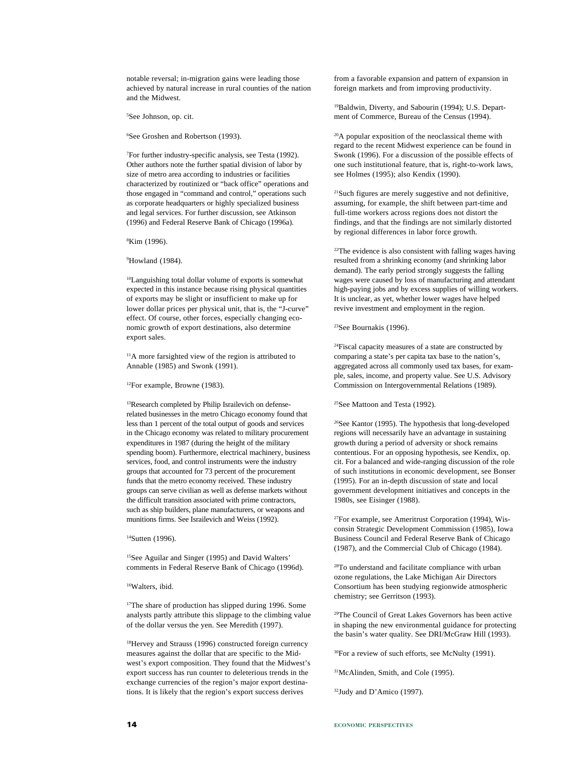notable reversal; in-migration gains were leading those achieved by natural increase in rural counties of the nation and the Midwest.

5 See Johnson, op. cit.

6 See Groshen and Robertson (1993).

7 For further industry-specific analysis, see Testa (1992). Other authors note the further spatial division of labor by size of metro area according to industries or facilities characterized by routinized or "back office" operations and those engaged in "command and control," operations such as corporate headquarters or highly specialized business and legal services. For further discussion, see Atkinson (1996) and Federal Reserve Bank of Chicago (1996a).

8 Kim (1996).

9 Howland (1984).

10Languishing total dollar volume of exports is somewhat expected in this instance because rising physical quantities of exports may be slight or insufficient to make up for lower dollar prices per physical unit, that is, the "J-curve" effect. Of course, other forces, especially changing economic growth of export destinations, also determine export sales.

11A more farsighted view of the region is attributed to Annable (1985) and Swonk (1991).

12For example, Browne (1983).

<sup>13</sup>Research completed by Philip Israilevich on defenserelated businesses in the metro Chicago economy found that less than 1 percent of the total output of goods and services in the Chicago economy was related to military procurement expenditures in 1987 (during the height of the military spending boom). Furthermore, electrical machinery, business services, food, and control instruments were the industry groups that accounted for 73 percent of the procurement funds that the metro economy received. These industry groups can serve civilian as well as defense markets without the difficult transition associated with prime contractors, such as ship builders, plane manufacturers, or weapons and munitions firms. See Israilevich and Weiss (1992).

<sup>14</sup>Sutten (1996).

15See Aguilar and Singer (1995) and David Walters' comments in Federal Reserve Bank of Chicago (1996d).

16Walters, ibid.

<sup>17</sup>The share of production has slipped during 1996. Some analysts partly attribute this slippage to the climbing value of the dollar versus the yen. See Meredith (1997).

18Hervey and Strauss (1996) constructed foreign currency measures against the dollar that are specific to the Midwest's export composition. They found that the Midwest's export success has run counter to deleterious trends in the exchange currencies of the region's major export destinations. It is likely that the region's export success derives

from a favorable expansion and pattern of expansion in foreign markets and from improving productivity.

19Baldwin, Diverty, and Sabourin (1994); U.S. Department of Commerce, Bureau of the Census (1994).

20A popular exposition of the neoclassical theme with regard to the recent Midwest experience can be found in Swonk (1996). For a discussion of the possible effects of one such institutional feature, that is, right-to-work laws, see Holmes (1995); also Kendix (1990).

21Such figures are merely suggestive and not definitive, assuming, for example, the shift between part-time and full-time workers across regions does not distort the findings, and that the findings are not similarly distorted by regional differences in labor force growth.

22The evidence is also consistent with falling wages having resulted from a shrinking economy (and shrinking labor demand). The early period strongly suggests the falling wages were caused by loss of manufacturing and attendant high-paying jobs and by excess supplies of willing workers. It is unclear, as yet, whether lower wages have helped revive investment and employment in the region.

23See Bournakis (1996).

24Fiscal capacity measures of a state are constructed by comparing a state's per capita tax base to the nation's, aggregated across all commonly used tax bases, for example, sales, income, and property value. See U.S. Advisory Commission on Intergovernmental Relations (1989).

25See Mattoon and Testa (1992).

26See Kantor (1995). The hypothesis that long-developed regions will necessarily have an advantage in sustaining growth during a period of adversity or shock remains contentious. For an opposing hypothesis, see Kendix, op. cit. For a balanced and wide-ranging discussion of the role of such institutions in economic development, see Bonser (1995). For an in-depth discussion of state and local government development initiatives and concepts in the 1980s, see Eisinger (1988).

27For example, see Ameritrust Corporation (1994), Wisconsin Strategic Development Commission (1985), Iowa Business Council and Federal Reserve Bank of Chicago (1987), and the Commercial Club of Chicago (1984).

28To understand and facilitate compliance with urban ozone regulations, the Lake Michigan Air Directors Consortium has been studying regionwide atmospheric chemistry; see Gerritson (1993).

29The Council of Great Lakes Governors has been active in shaping the new environmental guidance for protecting the basin's water quality. See DRI/McGraw Hill (1993).

<sup>30</sup>For a review of such efforts, see McNulty (1991).

31McAlinden, Smith, and Cole (1995).

32Judy and D'Amico (1997).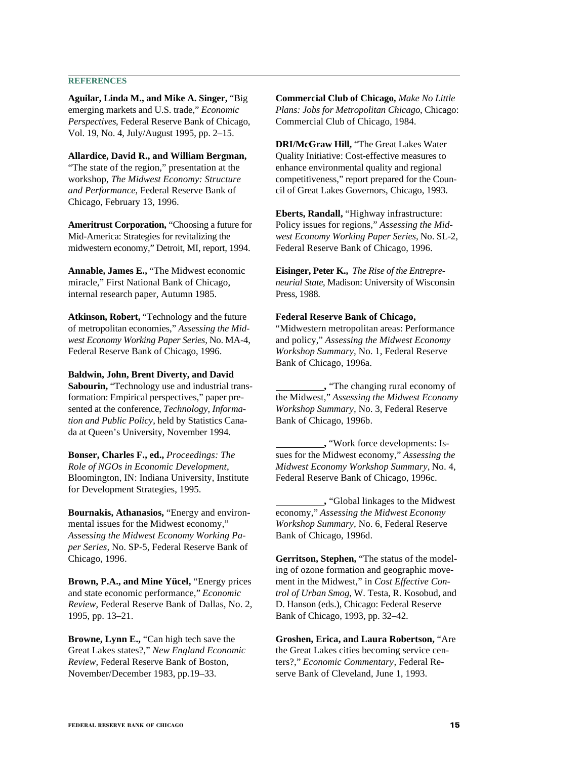#### **REFERENCES**

**Aguilar, Linda M., and Mike A. Singer,** "Big emerging markets and U.S. trade," *Economic Perspectives*, Federal Reserve Bank of Chicago, Vol. 19, No. 4, July/August 1995, pp. 2–15.

**Allardice, David R., and William Bergman,** "The state of the region," presentation at the workshop, *The Midwest Economy: Structure and Performance*, Federal Reserve Bank of Chicago, February 13, 1996.

**Ameritrust Corporation,** "Choosing a future for Mid-America: Strategies for revitalizing the midwestern economy," Detroit, MI, report, 1994.

**Annable, James E.,** "The Midwest economic miracle," First National Bank of Chicago, internal research paper, Autumn 1985.

**Atkinson, Robert,** "Technology and the future of metropolitan economies," *Assessing the Midwest Economy Working Paper Series,* No. MA-4, Federal Reserve Bank of Chicago, 1996.

**Baldwin, John, Brent Diverty, and David**

**Sabourin,** "Technology use and industrial transformation: Empirical perspectives," paper presented at the conference, *Technology, Information and Public Policy*, held by Statistics Canada at Queen's University, November 1994.

**Bonser, Charles F., ed.,** *Proceedings: The Role of NGOs in Economic Development*, Bloomington, IN: Indiana University, Institute for Development Strategies, 1995.

**Bournakis, Athanasios,** "Energy and environmental issues for the Midwest economy," *Assessing the Midwest Economy Working Paper Series,* No. SP-5, Federal Reserve Bank of Chicago, 1996.

**Brown, P.A., and Mine Yücel,** "Energy prices and state economic performance," *Economic Review*, Federal Reserve Bank of Dallas, No. 2, 1995, pp. 13–21.

**Browne, Lynn E.,** "Can high tech save the Great Lakes states?," *New England Economic Review*, Federal Reserve Bank of Boston, November/December 1983, pp.19–33.

**Commercial Club of Chicago,** *Make No Little Plans: Jobs for Metropolitan Chicago*, Chicago: Commercial Club of Chicago, 1984.

**DRI/McGraw Hill,** "The Great Lakes Water Quality Initiative: Cost-effective measures to enhance environmental quality and regional competitiveness," report prepared for the Council of Great Lakes Governors, Chicago, 1993.

**Eberts, Randall,** "Highway infrastructure: Policy issues for regions," *Assessing the Midwest Economy Working Paper Series,* No. SL-2*,* Federal Reserve Bank of Chicago, 1996.

**Eisinger, Peter K.,** *The Rise of the Entrepreneurial State*, Madison: University of Wisconsin Press, 1988.

#### **Federal Reserve Bank of Chicago,**

"Midwestern metropolitan areas: Performance and policy," *Assessing the Midwest Economy Workshop Summary,* No. 1, Federal Reserve Bank of Chicago, 1996a.

 **,** "The changing rural economy of the Midwest," *Assessing the Midwest Economy Workshop Summary,* No. 3, Federal Reserve Bank of Chicago, 1996b.

 **,** "Work force developments: Issues for the Midwest economy," *Assessing the Midwest Economy Workshop Summary,* No. 4, Federal Reserve Bank of Chicago, 1996c.

 **,** "Global linkages to the Midwest economy," *Assessing the Midwest Economy Workshop Summary,* No. 6, Federal Reserve Bank of Chicago, 1996d.

**Gerritson, Stephen,** "The status of the modeling of ozone formation and geographic movement in the Midwest," in *Cost Effective Control of Urban Smog*, W. Testa, R. Kosobud, and D. Hanson (eds.), Chicago: Federal Reserve Bank of Chicago, 1993, pp. 32–42.

**Groshen, Erica, and Laura Robertson,** "Are the Great Lakes cities becoming service centers?," *Economic Commentary*, Federal Reserve Bank of Cleveland, June 1, 1993.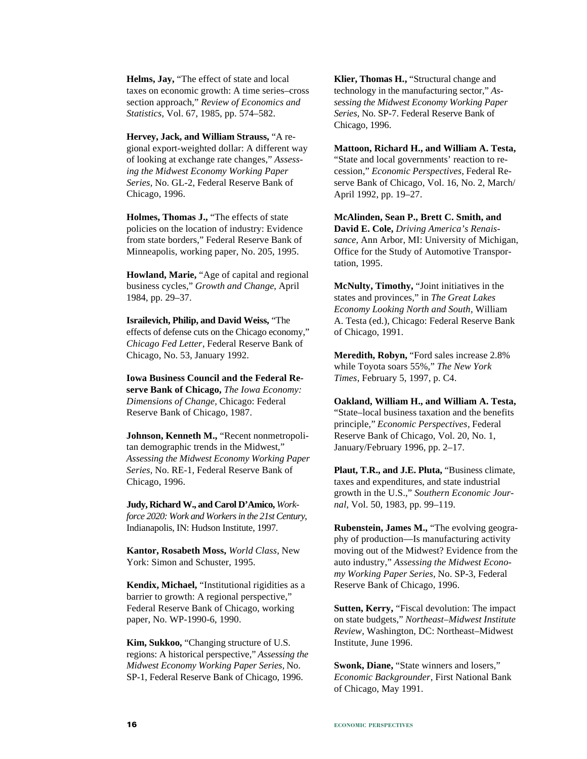**Helms, Jay,** "The effect of state and local taxes on economic growth: A time series–cross section approach," *Review of Economics and Statistics*, Vol. 67, 1985, pp. 574–582.

**Hervey, Jack, and William Strauss,** "A regional export-weighted dollar: A different way of looking at exchange rate changes," *Assessing the Midwest Economy Working Paper Series,* No. GL-2, Federal Reserve Bank of Chicago, 1996.

**Holmes, Thomas J.,** "The effects of state policies on the location of industry: Evidence from state borders," Federal Reserve Bank of Minneapolis, working paper, No. 205, 1995.

**Howland, Marie,** "Age of capital and regional business cycles," *Growth and Change*, April 1984, pp. 29–37.

**Israilevich, Philip, and David Weiss,** "The effects of defense cuts on the Chicago economy," *Chicago Fed Letter*, Federal Reserve Bank of Chicago, No. 53, January 1992.

**Iowa Business Council and the Federal Reserve Bank of Chicago,** *The Iowa Economy: Dimensions of Change,* Chicago: Federal Reserve Bank of Chicago, 1987.

**Johnson, Kenneth M.,** "Recent nonmetropolitan demographic trends in the Midwest," *Assessing the Midwest Economy Working Paper Series,* No. RE-1*,* Federal Reserve Bank of Chicago, 1996.

**Judy, Richard W., and Carol D'Amico,** *Workforce 2020: Work and Workers in the 21st Century*, Indianapolis, IN: Hudson Institute, 1997.

**Kantor, Rosabeth Moss,** *World Class*, New York: Simon and Schuster, 1995.

**Kendix, Michael,** "Institutional rigidities as a barrier to growth: A regional perspective," Federal Reserve Bank of Chicago, working paper, No. WP-1990-6, 1990.

**Kim, Sukkoo,** "Changing structure of U.S. regions: A historical perspective," *Assessing the Midwest Economy Working Paper Series,* No. SP-1, Federal Reserve Bank of Chicago, 1996.

**Klier, Thomas H.,** "Structural change and technology in the manufacturing sector," *Assessing the Midwest Economy Working Paper Series,* No. SP-7. Federal Reserve Bank of Chicago, 1996.

**Mattoon, Richard H., and William A. Testa,** "State and local governments' reaction to recession," *Economic Perspectives*, Federal Reserve Bank of Chicago, Vol. 16, No. 2, March/ April 1992, pp. 19–27.

**McAlinden, Sean P., Brett C. Smith, and David E. Cole,** *Driving America's Renaissance*, Ann Arbor, MI: University of Michigan, Office for the Study of Automotive Transportation, 1995.

**McNulty, Timothy,** "Joint initiatives in the states and provinces," in *The Great Lakes Economy Looking North and South*, William A. Testa (ed.), Chicago: Federal Reserve Bank of Chicago, 1991.

**Meredith, Robyn,** "Ford sales increase 2.8% while Toyota soars 55%," *The New York Times*, February 5, 1997, p. C4.

**Oakland, William H., and William A. Testa,** "State–local business taxation and the benefits principle," *Economic Perspectives*, Federal Reserve Bank of Chicago, Vol. 20, No. 1, January/February 1996, pp. 2–17.

**Plaut, T.R., and J.E. Pluta,** "Business climate, taxes and expenditures, and state industrial growth in the U.S.," *Southern Economic Journal*, Vol. 50, 1983, pp. 99–119.

**Rubenstein, James M.,** "The evolving geography of production—Is manufacturing activity moving out of the Midwest? Evidence from the auto industry," *Assessing the Midwest Economy Working Paper Series,* No. SP-3, Federal Reserve Bank of Chicago, 1996.

**Sutten, Kerry,** "Fiscal devolution: The impact on state budgets," *Northeast–Midwest Institute Review*, Washington, DC: Northeast–Midwest Institute, June 1996.

**Swonk, Diane,** "State winners and losers," *Economic Backgrounder*, First National Bank of Chicago, May 1991.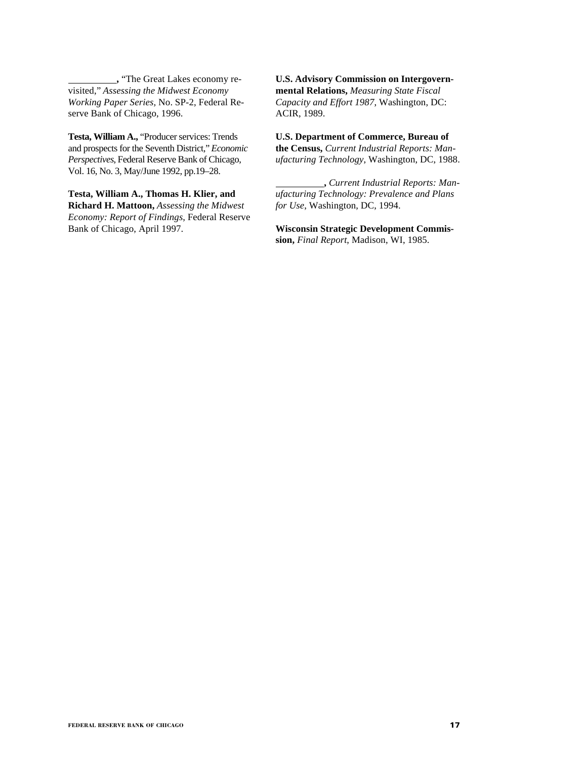**,** "The Great Lakes economy revisited," *Assessing the Midwest Economy Working Paper Series,* No. SP-2, Federal Reserve Bank of Chicago, 1996.

**Testa, William A.,** "Producer services: Trends and prospects for the Seventh District," *Economic Perspectives*, Federal Reserve Bank of Chicago, Vol. 16, No. 3, May/June 1992, pp.19–28.

**Testa, William A., Thomas H. Klier, and Richard H. Mattoon,** *Assessing the Midwest Economy: Report of Findings*, Federal Reserve Bank of Chicago, April 1997.

**U.S. Advisory Commission on Intergovernmental Relations,** *Measuring State Fiscal Capacity and Effort 1987*, Washington, DC: ACIR, 1989.

**U.S. Department of Commerce, Bureau of the Census,** *Current Industrial Reports: Manufacturing Technology*, Washington, DC, 1988.

 **,** *Current Industrial Reports: Manufacturing Technology: Prevalence and Plans for Use*, Washington, DC, 1994.

**Wisconsin Strategic Development Commission,** *Final Report*, Madison, WI, 1985.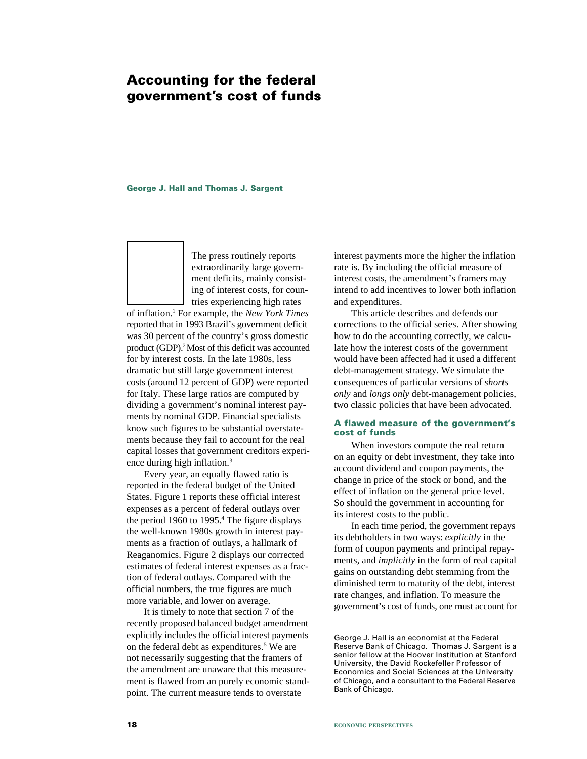# **Accounting for the federal government's cost of funds**

#### **George J. Hall and Thomas J. Sargent**

The press routinely reports extraordinarily large government deficits, mainly consisting of interest costs, for countries experiencing high rates

of inflation.1 For example, the *New York Times* reported that in 1993 Brazil's government deficit was 30 percent of the country's gross domestic product (GDP).2 Most of this deficit was accounted for by interest costs. In the late 1980s, less dramatic but still large government interest costs (around 12 percent of GDP) were reported for Italy. These large ratios are computed by dividing a government's nominal interest payments by nominal GDP. Financial specialists know such figures to be substantial overstatements because they fail to account for the real capital losses that government creditors experience during high inflation.3

Every year, an equally flawed ratio is reported in the federal budget of the United States. Figure 1 reports these official interest expenses as a percent of federal outlays over the period 1960 to 1995.<sup>4</sup> The figure displays the well-known 1980s growth in interest payments as a fraction of outlays, a hallmark of Reaganomics. Figure 2 displays our corrected estimates of federal interest expenses as a fraction of federal outlays. Compared with the official numbers, the true figures are much more variable, and lower on average.

It is timely to note that section 7 of the recently proposed balanced budget amendment explicitly includes the official interest payments on the federal debt as expenditures.<sup>5</sup> We are not necessarily suggesting that the framers of the amendment are unaware that this measurement is flawed from an purely economic standpoint. The current measure tends to overstate

interest payments more the higher the inflation rate is. By including the official measure of interest costs, the amendment's framers may intend to add incentives to lower both inflation and expenditures.

This article describes and defends our corrections to the official series. After showing how to do the accounting correctly, we calculate how the interest costs of the government would have been affected had it used a different debt-management strategy. We simulate the consequences of particular versions of *shorts only* and *longs only* debt-management policies, two classic policies that have been advocated.

#### **A flawed measure of the government's cost of funds**

When investors compute the real return on an equity or debt investment, they take into account dividend and coupon payments, the change in price of the stock or bond, and the effect of inflation on the general price level. So should the government in accounting for its interest costs to the public.

In each time period, the government repays its debtholders in two ways: *explicitly* in the form of coupon payments and principal repayments, and *implicitly* in the form of real capital gains on outstanding debt stemming from the diminished term to maturity of the debt, interest rate changes, and inflation. To measure the government's cost of funds, one must account for

George J. Hall is an economist at the Federal Reserve Bank of Chicago. Thomas J. Sargent is a senior fellow at the Hoover Institution at Stanford University, the David Rockefeller Professor of Economics and Social Sciences at the University of Chicago, and a consultant to the Federal Reserve Bank of Chicago.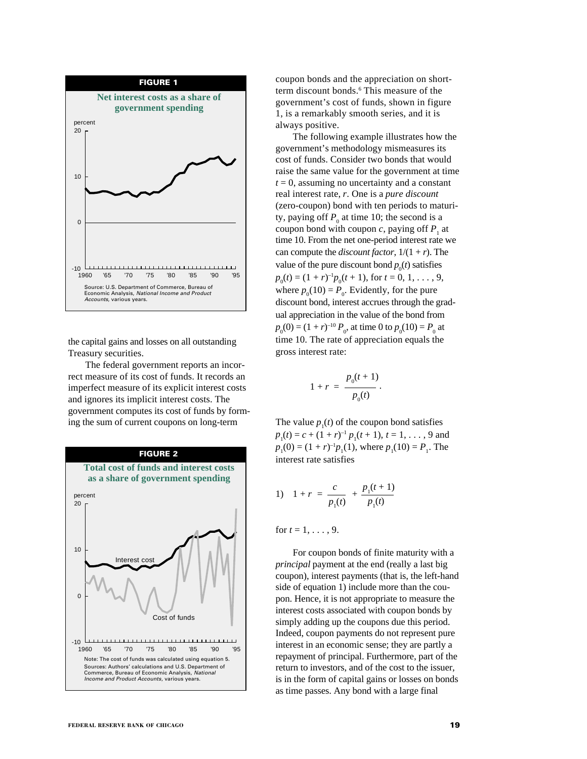

the capital gains and losses on all outstanding Treasury securities.

The federal government reports an incorrect measure of its cost of funds. It records an imperfect measure of its explicit interest costs and ignores its implicit interest costs. The government computes its cost of funds by forming the sum of current coupons on long-term



coupon bonds and the appreciation on shortterm discount bonds.<sup>6</sup> This measure of the government's cost of funds, shown in figure 1, is a remarkably smooth series, and it is always positive.

The following example illustrates how the government's methodology mismeasures its cost of funds. Consider two bonds that would raise the same value for the government at time  $t = 0$ , assuming no uncertainty and a constant real interest rate, *r*. One is a *pure discount* (zero-coupon) bond with ten periods to maturity, paying off  $P_0$  at time 10; the second is a coupon bond with coupon *c*, paying off  $P_1$  at time 10. From the net one-period interest rate we can compute the *discount factor*,  $1/(1 + r)$ . The value of the pure discount bond  $p_0(t)$  satisfies  $p_0(t) = (1 + r)^{-1} p_0(t + 1)$ , for  $t = 0, 1, ..., 9$ , where  $p_0(10) = P_0$ . Evidently, for the pure discount bond, interest accrues through the gradual appreciation in the value of the bond from  $p_0(0) = (1 + r)^{-10} P_0$ , at time 0 to  $p_0(10) = P_0$  at time 10. The rate of appreciation equals the gross interest rate:

$$
1 + r = \frac{p_0(t+1)}{p_0(t)}.
$$

The value  $p_1(t)$  of the coupon bond satisfies  $p_1(t) = c + (1 + r)^{-1} p_1(t + 1), t = 1, ..., 9$  and  $p_1(0) = (1 + r)^{-1} p_1(1)$ , where  $p_1(10) = P_1$ . The interest rate satisfies

1) 
$$
1 + r = \frac{c}{p_1(t)} + \frac{p_1(t+1)}{p_1(t)}
$$

for  $t = 1, \ldots, 9$ .

For coupon bonds of finite maturity with a *principal* payment at the end (really a last big coupon), interest payments (that is, the left-hand side of equation 1) include more than the coupon. Hence, it is not appropriate to measure the interest costs associated with coupon bonds by simply adding up the coupons due this period. Indeed, coupon payments do not represent pure interest in an economic sense; they are partly a repayment of principal. Furthermore, part of the return to investors, and of the cost to the issuer, is in the form of capital gains or losses on bonds as time passes. Any bond with a large final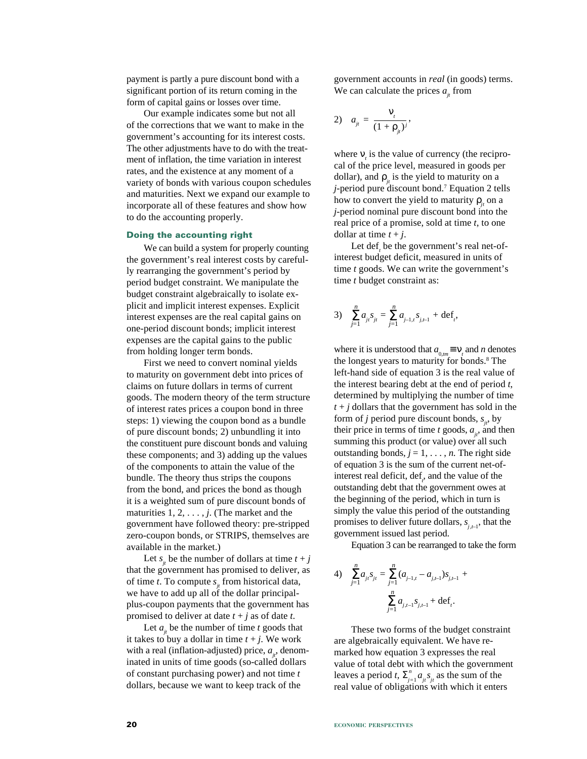payment is partly a pure discount bond with a significant portion of its return coming in the form of capital gains or losses over time.

Our example indicates some but not all of the corrections that we want to make in the government's accounting for its interest costs. The other adjustments have to do with the treatment of inflation, the time variation in interest rates, and the existence at any moment of a variety of bonds with various coupon schedules and maturities. Next we expand our example to incorporate all of these features and show how to do the accounting properly.

#### **Doing the accounting right**

We can build a system for properly counting the government's real interest costs by carefully rearranging the government's period by period budget constraint. We manipulate the budget constraint algebraically to isolate explicit and implicit interest expenses. Explicit interest expenses are the real capital gains on one-period discount bonds; implicit interest expenses are the capital gains to the public from holding longer term bonds.

First we need to convert nominal yields to maturity on government debt into prices of claims on future dollars in terms of current goods. The modern theory of the term structure of interest rates prices a coupon bond in three steps: 1) viewing the coupon bond as a bundle of pure discount bonds; 2) unbundling it into the constituent pure discount bonds and valuing these components; and 3) adding up the values of the components to attain the value of the bundle. The theory thus strips the coupons from the bond, and prices the bond as though it is a weighted sum of pure discount bonds of maturities  $1, 2, \ldots, j$ . (The market and the government have followed theory: pre-stripped zero-coupon bonds, or STRIPS, themselves are available in the market.)

Let  $s_i$  be the number of dollars at time  $t + j$ that the government has promised to deliver, as of time *t*. To compute  $s_i$  from historical data, we have to add up all of the dollar principalplus-coupon payments that the government has promised to deliver at date  $t + j$  as of date  $t$ .

Let  $a_{ij}$  be the number of time  $t$  goods that it takes to buy a dollar in time  $t + j$ . We work with a real (inflation-adjusted) price,  $a_{i}$ , denominated in units of time goods (so-called dollars of constant purchasing power) and not time *t* dollars, because we want to keep track of the

government accounts in *real* (in goods) terms. We can calculate the prices  $a_{ij}$  from

$$
a_{jt} = \frac{v_t}{(1 + \rho_{jt})^j},
$$

where  $v_t$  is the value of currency (the reciprocal of the price level, measured in goods per dollar), and  $\rho_{ij}$  is the yield to maturity on a *j*-period pure discount bond.7 Equation 2 tells how to convert the yield to maturity  $\rho_i$  on a *j*-period nominal pure discount bond into the real price of a promise, sold at time *t*, to one dollar at time  $t + j$ .

Let def<sub>*t*</sub> be the government's real net-ofinterest budget deficit, measured in units of time *t* goods. We can write the government's time *t* budget constraint as:

3) 
$$
\sum_{j=1}^{n} a_{ji} s_{jt} = \sum_{j=1}^{n} a_{j-1,t} s_{j,t-1} + \text{def}_t,
$$

where it is understood that  $a_{0,m} \equiv \mathbf{v}_t$  and *n* denotes the longest years to maturity for bonds.<sup>8</sup> The left-hand side of equation 3 is the real value of the interest bearing debt at the end of period *t*, determined by multiplying the number of time  $t + j$  dollars that the government has sold in the form of *j* period pure discount bonds,  $s_{i}$ , by their price in terms of time  $t$  goods,  $a_{ij}$ , and then summing this product (or value) over all such outstanding bonds,  $j = 1, \ldots, n$ . The right side of equation 3 is the sum of the current net-ofinterest real deficit, def<sub>*r*</sub>, and the value of the outstanding debt that the government owes at the beginning of the period, which in turn is simply the value this period of the outstanding promises to deliver future dollars,  $s_{i,t-1}$ , that the government issued last period.

Equation 3 can be rearranged to take the form

4) 
$$
\sum_{j=1}^{n} a_{ji} s_{jt} = \sum_{j=1}^{n} (a_{j-1,t} - a_{j,t-1}) s_{j,t-1} + \sum_{j=1}^{n} a_{j,t-1} s_{j,t-1} + \text{def}_t.
$$

These two forms of the budget constraint are algebraically equivalent. We have remarked how equation 3 expresses the real value of total debt with which the government leaves a period *t*,  $\sum_{j=1}^{n} a_{jt} s_{jt}$  as the sum of the real value of obligations with which it enters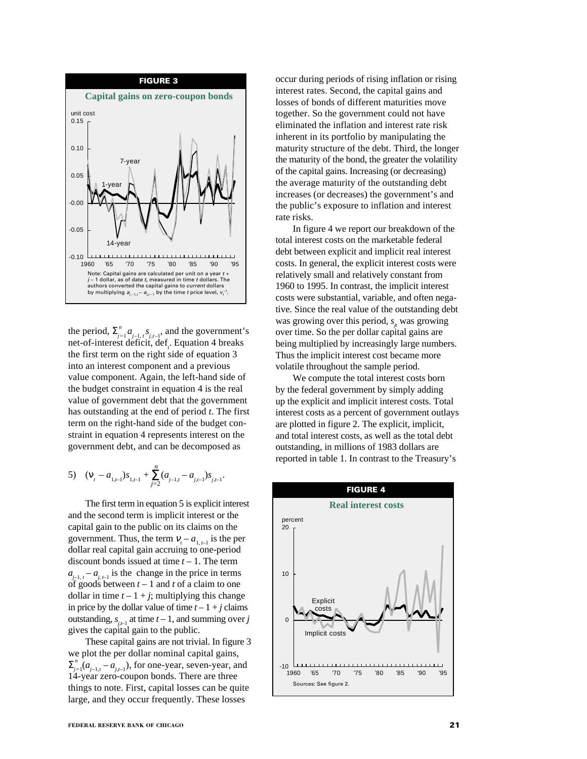

the period,  $\sum_{j=1}^{n} a_{j-1,t} s_{j,t-1}$ , and the government's net-of-interest deficit, def<sub>*t*</sub>. Equation 4 breaks the first term on the right side of equation 3 into an interest component and a previous value component. Again, the left-hand side of the budget constraint in equation 4 is the real value of government debt that the government has outstanding at the end of period *t*. The first term on the right-hand side of the budget constraint in equation 4 represents interest on the government debt, and can be decomposed as

5) 
$$
(v_t - a_{1,t-1})s_{1,t-1} + \sum_{j=2}^{n} (a_{j-1,t} - a_{j,t-1})s_{j,t-1}.
$$

The first term in equation 5 is explicit interest and the second term is implicit interest or the capital gain to the public on its claims on the government. Thus, the term  $V_t - a_{1, t-1}$  is the per dollar real capital gain accruing to one-period discount bonds issued at time *t* – 1. The term  $a_{i-1,t} - a_{i,t-1}$  is the change in the price in terms of goods between *t* – 1 and *t* of a claim to one dollar in time  $t - 1 + j$ ; multiplying this change in price by the dollar value of time  $t - 1 + i$  claims outstanding,  $s_{i,j}$  at time  $t-1$ , and summing over *j* gives the capital gain to the public.

These capital gains are not trivial. In figure 3 we plot the per dollar nominal capital gains,  $\sum_{j=1}^{n} (a_{j-1,t} - a_{j,t-1})$ , for one-year, seven-year, and 14-year zero-coupon bonds. There are three things to note. First, capital losses can be quite large, and they occur frequently. These losses

occur during periods of rising inflation or rising interest rates. Second, the capital gains and losses of bonds of different maturities move together. So the government could not have eliminated the inflation and interest rate risk inherent in its portfolio by manipulating the maturity structure of the debt. Third, the longer the maturity of the bond, the greater the volatility of the capital gains. Increasing (or decreasing) the average maturity of the outstanding debt increases (or decreases) the government's and the public's exposure to inflation and interest rate risks.

In figure 4 we report our breakdown of the total interest costs on the marketable federal debt between explicit and implicit real interest costs. In general, the explicit interest costs were relatively small and relatively constant from 1960 to 1995. In contrast, the implicit interest costs were substantial, variable, and often negative. Since the real value of the outstanding debt was growing over this period,  $s_{ij}$  was growing over time. So the per dollar capital gains are being multiplied by increasingly large numbers. Thus the implicit interest cost became more volatile throughout the sample period.

We compute the total interest costs born by the federal government by simply adding up the explicit and implicit interest costs. Total interest costs as a percent of government outlays are plotted in figure 2. The explicit, implicit, and total interest costs, as well as the total debt outstanding, in millions of 1983 dollars are reported in table 1. In contrast to the Treasury's

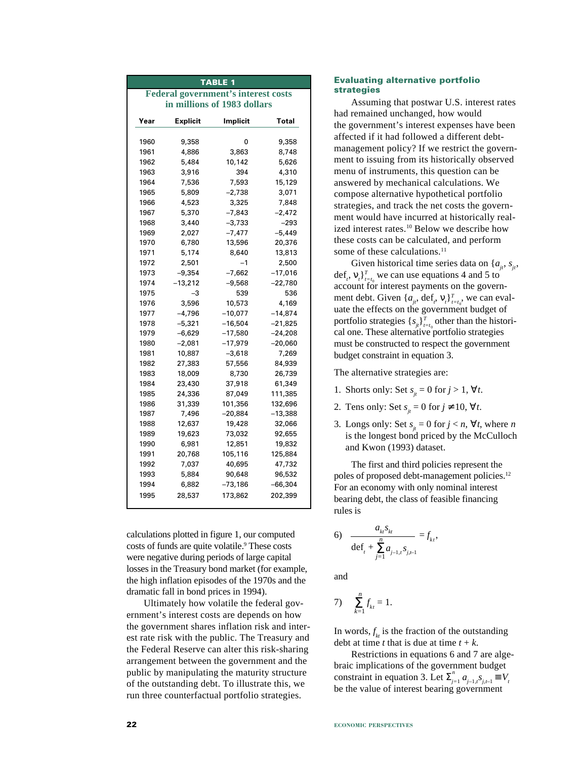| <b>TABLE 1</b>                             |                 |           |           |  |  |
|--------------------------------------------|-----------------|-----------|-----------|--|--|
| <b>Federal government's interest costs</b> |                 |           |           |  |  |
| in millions of 1983 dollars                |                 |           |           |  |  |
| Year                                       | <b>Explicit</b> | Implicit  | Total     |  |  |
|                                            |                 |           |           |  |  |
| 1960                                       | 9,358           | 0         | 9,358     |  |  |
| 1961                                       | 4,886           | 3,863     | 8,748     |  |  |
| 1962                                       | 5,484           | 10,142    | 5,626     |  |  |
| 1963                                       | 3,916           | 394       | 4,310     |  |  |
| 1964                                       | 7,536           | 7,593     | 15,129    |  |  |
| 1965                                       | 5,809           | $-2,738$  | 3,071     |  |  |
| 1966                                       | 4,523           | 3,325     | 7,848     |  |  |
| 1967                                       | 5,370           | $-7,843$  | $-2,472$  |  |  |
| 1968                                       | 3,440           | -3,733    | -293      |  |  |
| 1969                                       | 2,027           | $-7,477$  | -5,449    |  |  |
| 1970                                       | 6,780           | 13,596    | 20,376    |  |  |
| 1971                                       | 5,174           | 8,640     | 13,813    |  |  |
| 1972                                       | 2,501           | $-1$      | 2,500     |  |  |
| 1973                                       | $-9,354$        | -7,662    | $-17,016$ |  |  |
| 1974                                       | $-13,212$       | $-9,568$  | $-22,780$ |  |  |
| 1975                                       | $-3$            | 539       | 536       |  |  |
| 1976                                       | 3,596           | 10,573    | 4,169     |  |  |
| 1977                                       | $-4,796$        | $-10,077$ | $-14,874$ |  |  |
| 1978                                       | $-5,321$        | $-16,504$ | $-21,825$ |  |  |
| 1979                                       | -6,629          | $-17,580$ | $-24,208$ |  |  |
| 1980                                       | $-2,081$        | -17,979   | $-20,060$ |  |  |
| 1981                                       | 10,887          | $-3,618$  | 7,269     |  |  |
| 1982                                       | 27,383          | 57,556    | 84,939    |  |  |
| 1983                                       | 18,009          | 8,730     | 26,739    |  |  |
| 1984                                       | 23,430          | 37,918    | 61,349    |  |  |
| 1985                                       | 24,336          | 87,049    | 111,385   |  |  |
| 1986                                       | 31,339          | 101,356   | 132,696   |  |  |
| 1987                                       | 7,496           | –20,884   | -13,388   |  |  |
| 1988                                       | 12,637          | 19,428    | 32,066    |  |  |
| 1989                                       | 19,623          | 73,032    | 92,655    |  |  |
| 1990                                       | 6,981           | 12,851    | 19,832    |  |  |
| 1991                                       | 20,768          | 105,116   | 125,884   |  |  |
| 1992                                       | 7,037           | 40,695    | 47,732    |  |  |
| 1993                                       | 5,884           | 90,648    | 96,532    |  |  |
| 1994                                       | 6,882           | -73,186   | -66,304   |  |  |
| 1995                                       | 28,537          | 173,862   | 202,399   |  |  |
|                                            |                 |           |           |  |  |

calculations plotted in figure 1, our computed costs of funds are quite volatile.<sup>9</sup> These costs were negative during periods of large capital losses in the Treasury bond market (for example, the high inflation episodes of the 1970s and the dramatic fall in bond prices in 1994).

Ultimately how volatile the federal government's interest costs are depends on how the government shares inflation risk and interest rate risk with the public. The Treasury and the Federal Reserve can alter this risk-sharing arrangement between the government and the public by manipulating the maturity structure of the outstanding debt. To illustrate this, we run three counterfactual portfolio strategies.

#### **Evaluating alternative portfolio strategies**

Assuming that postwar U.S. interest rates had remained unchanged, how would the government's interest expenses have been affected if it had followed a different debtmanagement policy? If we restrict the government to issuing from its historically observed menu of instruments, this question can be answered by mechanical calculations. We compose alternative hypothetical portfolio strategies, and track the net costs the government would have incurred at historically realized interest rates.<sup>10</sup> Below we describe how these costs can be calculated, and perform some of these calculations.<sup>11</sup>

Given historical time series data on  $\{a_{ii}, s_{ii}, \}$ def<sub>t</sub>,  $V_t$ <sup>T</sup><sub> $t=t_0$ </sub> we can use equations 4 and 5 to account for interest payments on the government debt. Given  $\{a_{jt}, \text{def}_t, v_t\}_{t=t_0}^T$ , we can evaluate the effects on the government budget of portfolio strategies  $\{s_{j_t}\}_{t=t_0}^T$  other than the historical one. These alternative portfolio strategies must be constructed to respect the government budget constraint in equation 3.

The alternative strategies are:

- 1. Shorts only: Set  $s_{ij} = 0$  for  $j > 1$ ,  $\forall t$ .
- 2. Tens only: Set  $s_i = 0$  for  $j \neq 10$ ,  $\forall t$ .
- 3. Longs only: Set  $s_{ij} = 0$  for  $j < n$ ,  $\forall t$ , where *n* is the longest bond priced by the McCulloch and Kwon (1993) dataset.

The first and third policies represent the poles of proposed debt-management policies.<sup>12</sup> For an economy with only nominal interest bearing debt, the class of feasible financing rules is

6) 
$$
\frac{a_{k}S_{k}}{\det_{t} + \sum_{j=1}^{n} a_{j-1,t}S_{j,t-1}} = f_{k,t},
$$

and

7) 
$$
\sum_{k=1}^{n} f_{kt} = 1.
$$

In words,  $f_{k}$  is the fraction of the outstanding debt at time *t* that is due at time  $t + k$ .

Restrictions in equations 6 and 7 are algebraic implications of the government budget constraint in equation 3. Let  $\sum_{j=1}^{n} a_{j-1,t} s_{j,t-1} \equiv V_t$ be the value of interest bearing government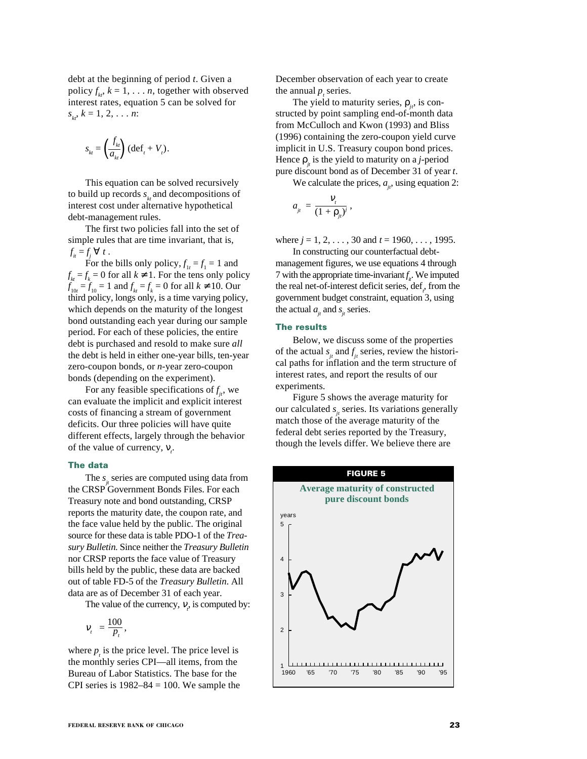debt at the beginning of period *t*. Given a policy  $f_{kt}$ ,  $k = 1, \ldots n$ , together with observed interest rates, equation 5 can be solved for  $s_{k}$ ,  $k = 1, 2, \ldots n$ :

$$
s_{kt} = \left(\frac{f_{kt}}{a_{kt}}\right) \left(\det_t + V_t\right).
$$

This equation can be solved recursively to build up records  $s_k$  and decompositions of interest cost under alternative hypothetical debt-management rules.

The first two policies fall into the set of simple rules that are time invariant, that is,  $f_{it} = f_j \ \forall t.$ 

For the bills only policy,  $f_{1t} = f_1 = 1$  and  $f_{kt} = f_k = 0$  for all  $k \neq 1$ . For the tens only policy  $f_{10t} = f_{10} = 1$  and  $f_{kt} = f_k = 0$  for all  $k \neq 10$ . Our third policy, longs only, is a time varying policy, which depends on the maturity of the longest bond outstanding each year during our sample period. For each of these policies, the entire debt is purchased and resold to make sure *all* the debt is held in either one-year bills, ten-year zero-coupon bonds, or *n*-year zero-coupon bonds (depending on the experiment).

For any feasible specifications of  $f_{ji}$ , we can evaluate the implicit and explicit interest costs of financing a stream of government deficits. Our three policies will have quite different effects, largely through the behavior of the value of currency,  $v_t$ .

#### **The data**

The *s<sub>i</sub>* series are computed using data from the CRSP Government Bonds Files. For each Treasury note and bond outstanding, CRSP reports the maturity date, the coupon rate, and the face value held by the public. The original source for these data is table PDO-1 of the *Treasury Bulletin*. Since neither the *Treasury Bulletin* nor CRSP reports the face value of Treasury bills held by the public, these data are backed out of table FD-5 of the *Treasury Bulletin*. All data are as of December 31 of each year.

The value of the currency,  $V_t$ , is computed by:

$$
V_t = \frac{100}{P_t},
$$

where  $p<sub>t</sub>$  is the price level. The price level is the monthly series CPI—all items, from the Bureau of Labor Statistics. The base for the CPI series is  $1982-84 = 100$ . We sample the December observation of each year to create the annual  $p_t$  series.

The yield to maturity series,  $\rho_{i}$ , is constructed by point sampling end-of-month data from McCulloch and Kwon (1993) and Bliss (1996) containing the zero-coupon yield curve implicit in U.S. Treasury coupon bond prices. Hence  $\rho_i$  is the yield to maturity on a *j*-period pure discount bond as of December 31 of year *t*.

We calculate the prices,  $a_{ij}$ , using equation 2:

$$
a_{j_t} = \frac{v_t}{(1+\rho_{j_t})^j},
$$

where *j* = 1, 2, . . . , 30 and *t* = 1960, . . . , 1995.

In constructing our counterfactual debtmanagement figures, we use equations 4 through 7 with the appropriate time-invariant  $f_i$ . We imputed the real net-of-interest deficit series, def<sub>*t*</sub>, from the government budget constraint, equation 3, using the actual  $a_{ij}$  and  $s_{ij}$  series.

#### **The results**

Below, we discuss some of the properties of the actual  $s_{j_t}$  and  $f_{j_t}$  series, review the historical paths for inflation and the term structure of interest rates, and report the results of our experiments.

Figure 5 shows the average maturity for our calculated *s<sub>it</sub>* series. Its variations generally match those of the average maturity of the federal debt series reported by the Treasury, though the levels differ. We believe there are

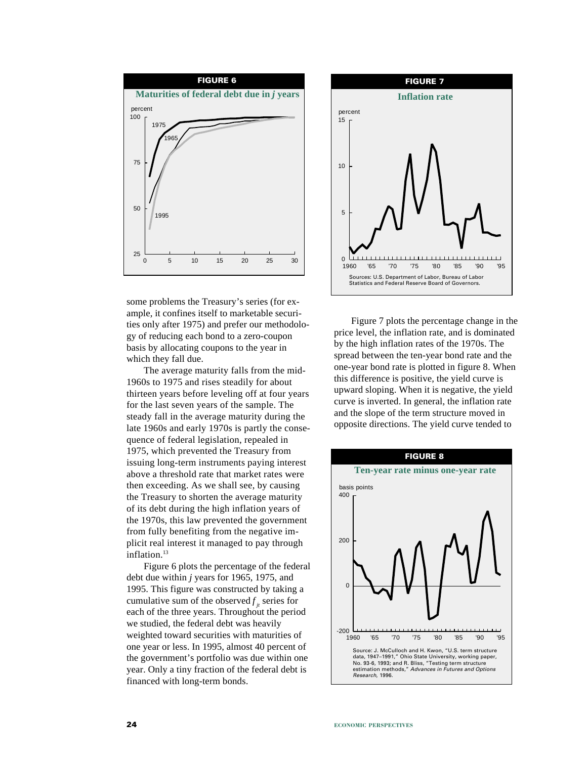

some problems the Treasury's series (for example, it confines itself to marketable securities only after 1975) and prefer our methodology of reducing each bond to a zero-coupon basis by allocating coupons to the year in which they fall due.

The average maturity falls from the mid-1960s to 1975 and rises steadily for about thirteen years before leveling off at four years for the last seven years of the sample. The steady fall in the average maturity during the late 1960s and early 1970s is partly the consequence of federal legislation, repealed in 1975, which prevented the Treasury from issuing long-term instruments paying interest above a threshold rate that market rates were then exceeding. As we shall see, by causing the Treasury to shorten the average maturity of its debt during the high inflation years of the 1970s, this law prevented the government from fully benefiting from the negative implicit real interest it managed to pay through inflation.<sup>13</sup>

Figure 6 plots the percentage of the federal debt due within *j* years for 1965, 1975, and 1995. This figure was constructed by taking a cumulative sum of the observed  $f_{i}$  series for each of the three years. Throughout the period we studied, the federal debt was heavily weighted toward securities with maturities of one year or less. In 1995, almost 40 percent of the government's portfolio was due within one year. Only a tiny fraction of the federal debt is financed with long-term bonds.



Figure 7 plots the percentage change in the price level, the inflation rate, and is dominated by the high inflation rates of the 1970s. The spread between the ten-year bond rate and the one-year bond rate is plotted in figure 8. When this difference is positive, the yield curve is upward sloping. When it is negative, the yield curve is inverted. In general, the inflation rate and the slope of the term structure moved in opposite directions. The yield curve tended to

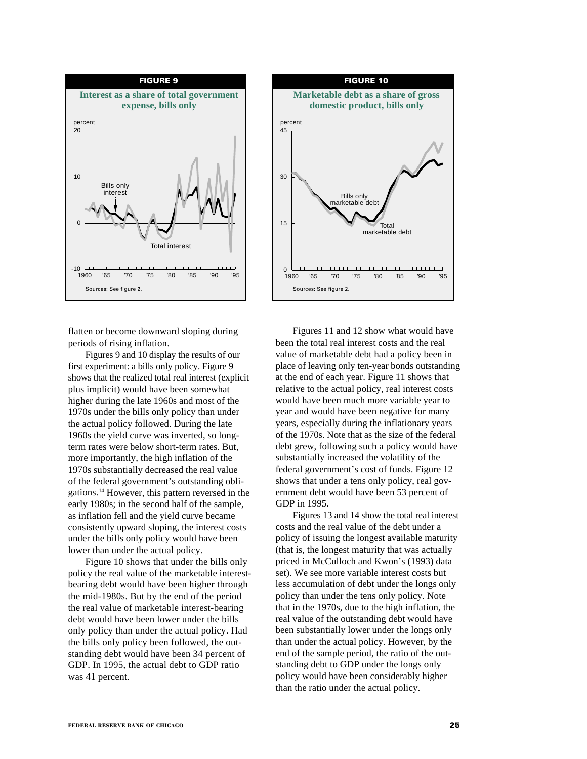

flatten or become downward sloping during periods of rising inflation.

Figures 9 and 10 display the results of our first experiment: a bills only policy. Figure 9 shows that the realized total real interest (explicit plus implicit) would have been somewhat higher during the late 1960s and most of the 1970s under the bills only policy than under the actual policy followed. During the late 1960s the yield curve was inverted, so longterm rates were below short-term rates. But, more importantly, the high inflation of the 1970s substantially decreased the real value of the federal government's outstanding obligations.14 However, this pattern reversed in the early 1980s; in the second half of the sample, as inflation fell and the yield curve became consistently upward sloping, the interest costs under the bills only policy would have been lower than under the actual policy.

Figure 10 shows that under the bills only policy the real value of the marketable interestbearing debt would have been higher through the mid-1980s. But by the end of the period the real value of marketable interest-bearing debt would have been lower under the bills only policy than under the actual policy. Had the bills only policy been followed, the outstanding debt would have been 34 percent of GDP. In 1995, the actual debt to GDP ratio was 41 percent.



Figures 11 and 12 show what would have been the total real interest costs and the real value of marketable debt had a policy been in place of leaving only ten-year bonds outstanding at the end of each year. Figure 11 shows that relative to the actual policy, real interest costs would have been much more variable year to year and would have been negative for many years, especially during the inflationary years of the 1970s. Note that as the size of the federal debt grew, following such a policy would have substantially increased the volatility of the federal government's cost of funds. Figure 12 shows that under a tens only policy, real government debt would have been 53 percent of GDP in 1995.

Figures 13 and 14 show the total real interest costs and the real value of the debt under a policy of issuing the longest available maturity (that is, the longest maturity that was actually priced in McCulloch and Kwon's (1993) data set). We see more variable interest costs but less accumulation of debt under the longs only policy than under the tens only policy. Note that in the 1970s, due to the high inflation, the real value of the outstanding debt would have been substantially lower under the longs only than under the actual policy. However, by the end of the sample period, the ratio of the outstanding debt to GDP under the longs only policy would have been considerably higher than the ratio under the actual policy.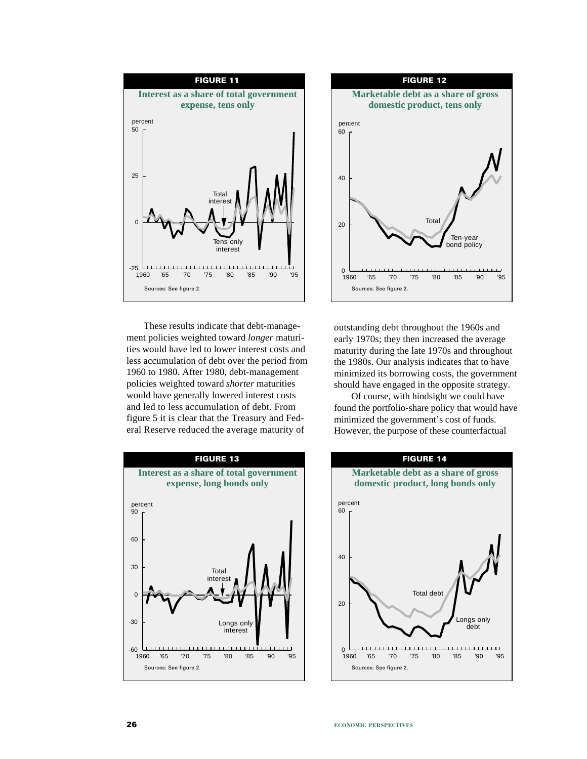

These results indicate that debt-management policies weighted toward *longer* maturities would have led to lower interest costs and less accumulation of debt over the period from 1960 to 1980. After 1980, debt-management policies weighted toward *shorter* maturities would have generally lowered interest costs and led to less accumulation of debt. From figure 5 it is clear that the Treasury and Federal Reserve reduced the average maturity of





outstanding debt throughout the 1960s and early 1970s; they then increased the average maturity during the late 1970s and throughout the 1980s. Our analysis indicates that to have minimized its borrowing costs, the government should have engaged in the opposite strategy.

Of course, with hindsight we could have found the portfolio-share policy that would have minimized the government's cost of funds. However, the purpose of these counterfactual

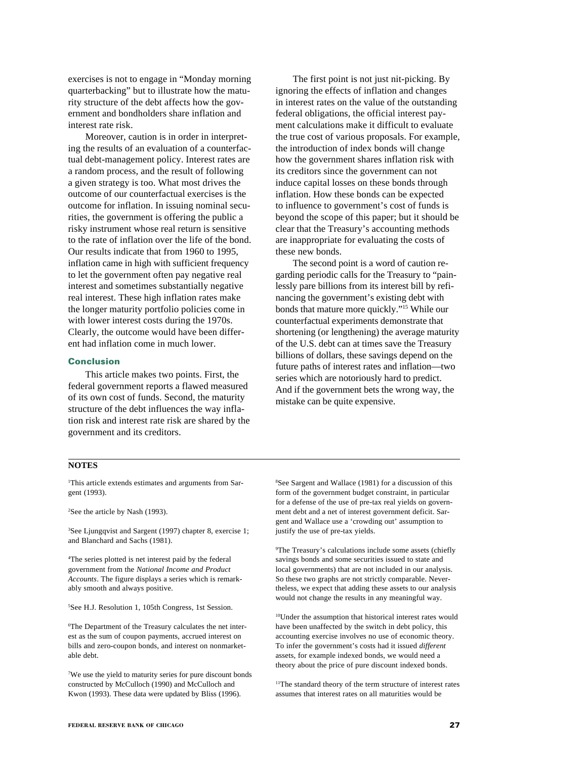exercises is not to engage in "Monday morning quarterbacking" but to illustrate how the maturity structure of the debt affects how the government and bondholders share inflation and interest rate risk.

Moreover, caution is in order in interpreting the results of an evaluation of a counterfactual debt-management policy. Interest rates are a random process, and the result of following a given strategy is too. What most drives the outcome of our counterfactual exercises is the outcome for inflation. In issuing nominal securities, the government is offering the public a risky instrument whose real return is sensitive to the rate of inflation over the life of the bond. Our results indicate that from 1960 to 1995, inflation came in high with sufficient frequency to let the government often pay negative real interest and sometimes substantially negative real interest. These high inflation rates make the longer maturity portfolio policies come in with lower interest costs during the 1970s. Clearly, the outcome would have been different had inflation come in much lower.

#### **Conclusion**

This article makes two points. First, the federal government reports a flawed measured of its own cost of funds. Second, the maturity structure of the debt influences the way inflation risk and interest rate risk are shared by the government and its creditors.

The first point is not just nit-picking. By ignoring the effects of inflation and changes in interest rates on the value of the outstanding federal obligations, the official interest payment calculations make it difficult to evaluate the true cost of various proposals. For example, the introduction of index bonds will change how the government shares inflation risk with its creditors since the government can not induce capital losses on these bonds through inflation. How these bonds can be expected to influence to government's cost of funds is beyond the scope of this paper; but it should be clear that the Treasury's accounting methods are inappropriate for evaluating the costs of these new bonds.

The second point is a word of caution regarding periodic calls for the Treasury to "painlessly pare billions from its interest bill by refinancing the government's existing debt with bonds that mature more quickly."15 While our counterfactual experiments demonstrate that shortening (or lengthening) the average maturity of the U.S. debt can at times save the Treasury billions of dollars, these savings depend on the future paths of interest rates and inflation—two series which are notoriously hard to predict. And if the government bets the wrong way, the mistake can be quite expensive.

#### **NOTES**

1 This article extends estimates and arguments from Sargent (1993).

2 See the article by Nash (1993).

3 See Ljungqvist and Sargent (1997) chapter 8, exercise 1; and Blanchard and Sachs (1981).

4 The series plotted is net interest paid by the federal government from the *National Income and Product Accounts*. The figure displays a series which is remarkably smooth and always positive.

5 See H.J. Resolution 1, 105th Congress, 1st Session.

6 The Department of the Treasury calculates the net interest as the sum of coupon payments, accrued interest on bills and zero-coupon bonds, and interest on nonmarketable debt.

7 We use the yield to maturity series for pure discount bonds constructed by McCulloch (1990) and McCulloch and Kwon (1993). These data were updated by Bliss (1996).

8 See Sargent and Wallace (1981) for a discussion of this form of the government budget constraint, in particular for a defense of the use of pre-tax real yields on government debt and a net of interest government deficit. Sargent and Wallace use a 'crowding out' assumption to justify the use of pre-tax yields.

9 The Treasury's calculations include some assets (chiefly savings bonds and some securities issued to state and local governments) that are not included in our analysis. So these two graphs are not strictly comparable. Nevertheless, we expect that adding these assets to our analysis would not change the results in any meaningful way.

10Under the assumption that historical interest rates would have been unaffected by the switch in debt policy, this accounting exercise involves no use of economic theory. To infer the government's costs had it issued *different* assets, for example indexed bonds, we would need a theory about the price of pure discount indexed bonds.

11The standard theory of the term structure of interest rates assumes that interest rates on all maturities would be